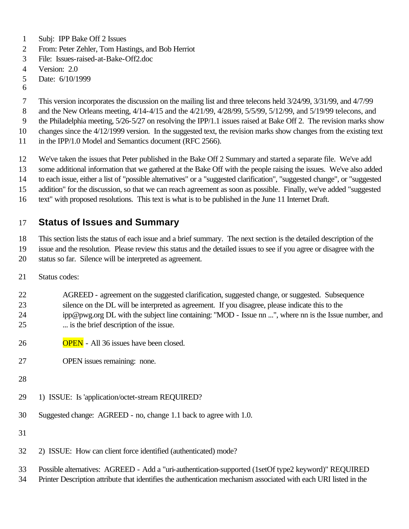- Subj: IPP Bake Off 2 Issues
- From: Peter Zehler, Tom Hastings, and Bob Herriot
- File: Issues-raised-at-Bake-Off2.doc
- Version: 2.0
- Date: 6/10/1999
- 

This version incorporates the discussion on the mailing list and three telecons held 3/24/99, 3/31/99, and 4/7/99

- and the New Orleans meeting, 4/14-4/15 and the 4/21/99, 4/28/99, 5/5/99, 5/12/99, and 5/19/99 telecons, and
- the Philadelphia meeting, 5/26-5/27 on resolving the IPP/1.1 issues raised at Bake Off 2. The revision marks show
- changes since the 4/12/1999 version. In the suggested text, the revision marks show changes from the existing text
- 11 in the IPP/1.0 Model and Semantics document (RFC 2566).
- We've taken the issues that Peter published in the Bake Off 2 Summary and started a separate file. We've add

some additional information that we gathered at the Bake Off with the people raising the issues. We've also added

to each issue, either a list of "possible alternatives" or a "suggested clarification", "suggested change", or "suggested

- addition" for the discussion, so that we can reach agreement as soon as possible. Finally, we've added "suggested
- text" with proposed resolutions. This text is what is to be published in the June 11 Internet Draft.

# **Status of Issues and Summary**

 This section lists the status of each issue and a brief summary. The next section is the detailed description of the issue and the resolution. Please review this status and the detailed issues to see if you agree or disagree with the

- status so far. Silence will be interpreted as agreement.
- Status codes:
- AGREED agreement on the suggested clarification, suggested change, or suggested. Subsequence silence on the DL will be interpreted as agreement. If you disagree, please indicate this to the ipp@pwg.org DL with the subject line containing: "MOD - Issue nn ...", where nn is the Issue number, and ... is the brief description of the issue.
- OPEN All 36 issues have been closed.
- OPEN issues remaining: none.
- 
- 1) ISSUE: Is 'application/octet-stream REQUIRED?
- Suggested change: AGREED no, change 1.1 back to agree with 1.0.
- 
- 2) ISSUE: How can client force identified (authenticated) mode?
- Possible alternatives: AGREED Add a "uri-authentication-supported (1setOf type2 keyword)" REQUIRED
- Printer Description attribute that identifies the authentication mechanism associated with each URI listed in the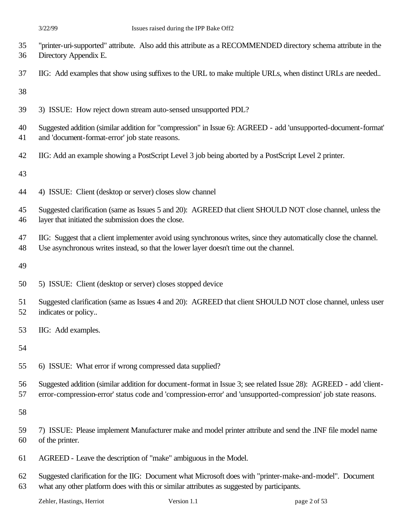- "printer-uri-supported" attribute. Also add this attribute as a RECOMMENDED directory schema attribute in the Directory Appendix E.
- IIG: Add examples that show using suffixes to the URL to make multiple URLs, when distinct URLs are needed..

- 3) ISSUE: How reject down stream auto-sensed unsupported PDL?
- Suggested addition (similar addition for "compression" in Issue 6): AGREED add 'unsupported-document-format' and 'document-format-error' job state reasons.
- IIG: Add an example showing a PostScript Level 3 job being aborted by a PostScript Level 2 printer.

- 4) ISSUE: Client (desktop or server) closes slow channel
- Suggested clarification (same as Issues 5 and 20): AGREED that client SHOULD NOT close channel, unless the layer that initiated the submission does the close.
- IIG: Suggest that a client implementer avoid using synchronous writes, since they automatically close the channel.
- Use asynchronous writes instead, so that the lower layer doesn't time out the channel.

- 5) ISSUE: Client (desktop or server) closes stopped device
- Suggested clarification (same as Issues 4 and 20): AGREED that client SHOULD NOT close channel, unless user indicates or policy..
- IIG: Add examples.

- 6) ISSUE: What error if wrong compressed data supplied?
- Suggested addition (similar addition for document-format in Issue 3; see related Issue 28): AGREED add 'client-
- error-compression-error' status code and 'compression-error' and 'unsupported-compression' job state reasons.

- 7) ISSUE: Please implement Manufacturer make and model printer attribute and send the .INF file model name of the printer.
- AGREED Leave the description of "make" ambiguous in the Model.
- Suggested clarification for the IIG: Document what Microsoft does with "printer-make-and-model". Document what any other platform does with this or similar attributes as suggested by participants.

Zehler, Hastings, Herriot Version 1.1 page 2 of 53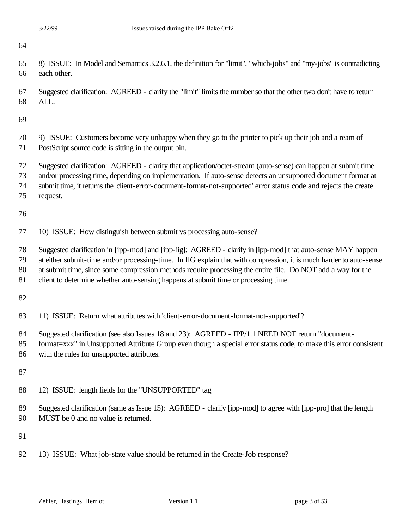- 8) ISSUE: In Model and Semantics 3.2.6.1, the definition for "limit", "which-jobs" and "my-jobs" is contradicting each other.
- Suggested clarification: AGREED clarify the "limit" limits the number so that the other two don't have to return ALL.
- 
- 9) ISSUE: Customers become very unhappy when they go to the printer to pick up their job and a ream of PostScript source code is sitting in the output bin.
- Suggested clarification: AGREED clarify that application/octet-stream (auto-sense) can happen at submit time
- and/or processing time, depending on implementation. If auto-sense detects an unsupported document format at
- submit time, it returns the 'client-error-document-format-not-supported' error status code and rejects the create
- request.

- 10) ISSUE: How distinguish between submit vs processing auto-sense?
- Suggested clarification in [ipp-mod] and [ipp-iig]: AGREED clarify in [ipp-mod] that auto-sense MAY happen
- at either submit-time and/or processing-time. In IIG explain that with compression, it is much harder to auto-sense
- at submit time, since some compression methods require processing the entire file. Do NOT add a way for the
- client to determine whether auto-sensing happens at submit time or processing time.

- 11) ISSUE: Return what attributes with 'client-error-document-format-not-supported'?
- Suggested clarification (see also Issues 18 and 23): AGREED IPP/1.1 NEED NOT return "document-
- format=xxx" in Unsupported Attribute Group even though a special error status code, to make this error consistent with the rules for unsupported attributes.

- 12) ISSUE: length fields for the "UNSUPPORTED" tag
- Suggested clarification (same as Issue 15): AGREED clarify [ipp-mod] to agree with [ipp-pro] that the length MUST be 0 and no value is returned.

13) ISSUE: What job-state value should be returned in the Create-Job response?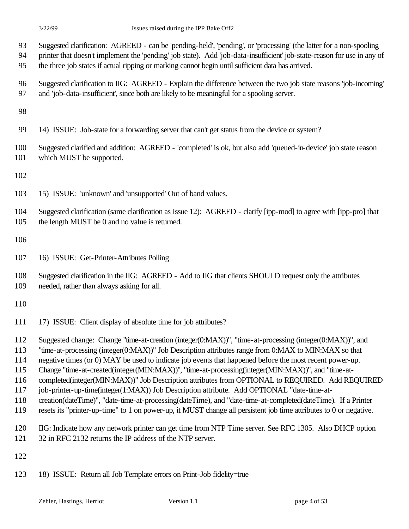- Suggested clarification: AGREED can be 'pending-held', 'pending', or 'processing' (the latter for a non-spooling printer that doesn't implement the 'pending' job state). Add 'job-data-insufficient' job-state-reason for use in any of
- the three job states if actual ripping or marking cannot begin until sufficient data has arrived.
- Suggested clarification to IIG: AGREED Explain the difference between the two job state reasons 'job-incoming' and 'job-data-insufficient', since both are likely to be meaningful for a spooling server.

- 14) ISSUE: Job-state for a forwarding server that can't get status from the device or system?
- Suggested clarified and addition: AGREED 'completed' is ok, but also add 'queued-in-device' job state reason 101 which MUST be supported.

- 15) ISSUE: 'unknown' and 'unsupported' Out of band values.
- Suggested clarification (same clarification as Issue 12): AGREED clarify [ipp-mod] to agree with [ipp-pro] that the length MUST be 0 and no value is returned.

- 16) ISSUE: Get-Printer-Attributes Polling
- Suggested clarification in the IIG: AGREED Add to IIG that clients SHOULD request only the attributes needed, rather than always asking for all.

- 17) ISSUE: Client display of absolute time for job attributes?
- Suggested change: Change "time-at-creation (integer(0:MAX))", "time-at-processing (integer(0:MAX))", and
- "time-at-processing (integer(0:MAX))" Job Description attributes range from 0:MAX to MIN:MAX so that
- negative times (or 0) MAY be used to indicate job events that happened before the most recent power-up.
- Change "time-at-created(integer(MIN:MAX))", "time-at-processing(integer(MIN:MAX))", and "time-at-
- completed(integer(MIN:MAX))" Job Description attributes from OPTIONAL to REQUIRED. Add REQUIRED
- job-printer-up-time(integer(1:MAX)) Job Description attribute. Add OPTIONAL "date-time-at-
- creation(dateTime)", "date-time-at-processing(dateTime), and "date-time-at-completed(dateTime). If a Printer
- resets its "printer-up-time" to 1 on power-up, it MUST change all persistent job time attributes to 0 or negative.
- IIG: Indicate how any network printer can get time from NTP Time server. See RFC 1305. Also DHCP option
- 32 in RFC 2132 returns the IP address of the NTP server.
- 
- 18) ISSUE: Return all Job Template errors on Print-Job fidelity=true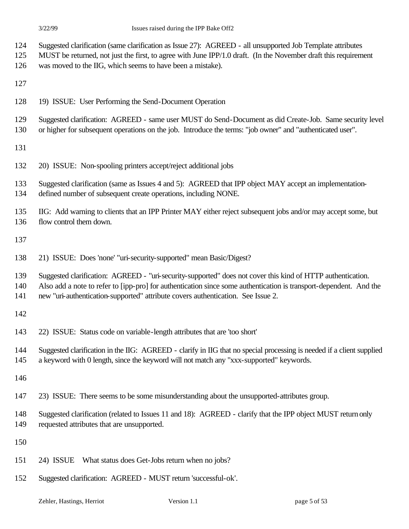- Suggested clarification (same clarification as Issue 27): AGREED all unsupported Job Template attributes
- MUST be returned, not just the first, to agree with June IPP/1.0 draft. (In the November draft this requirement
- was moved to the IIG, which seems to have been a mistake).
- 
- 19) ISSUE: User Performing the Send-Document Operation
- Suggested clarification: AGREED same user MUST do Send-Document as did Create-Job. Same security level
- or higher for subsequent operations on the job. Introduce the terms: "job owner" and "authenticated user".
- 
- 20) ISSUE: Non-spooling printers accept/reject additional jobs

Suggested clarification (same as Issues 4 and 5): AGREED that IPP object MAY accept an implementation-

- defined number of subsequent create operations, including NONE.
- IIG: Add warning to clients that an IPP Printer MAY either reject subsequent jobs and/or may accept some, but flow control them down.
- 
- 21) ISSUE: Does 'none' "uri-security-supported" mean Basic/Digest?
- Suggested clarification: AGREED "uri-security-supported" does not cover this kind of HTTP authentication.
- Also add a note to refer to [ipp-pro] for authentication since some authentication is transport-dependent. And the
- new "uri-authentication-supported" attribute covers authentication. See Issue 2.
- 
- 22) ISSUE: Status code on variable-length attributes that are 'too short'
- Suggested clarification in the IIG: AGREED clarify in IIG that no special processing is needed if a client supplied
- a keyword with 0 length, since the keyword will not match any "xxx-supported" keywords.
- 
- 23) ISSUE: There seems to be some misunderstanding about the unsupported-attributes group.
- Suggested clarification (related to Issues 11 and 18): AGREED clarify that the IPP object MUST return only requested attributes that are unsupported.
- 
- 24) ISSUE What status does Get-Jobs return when no jobs?
- Suggested clarification: AGREED MUST return 'successful-ok'.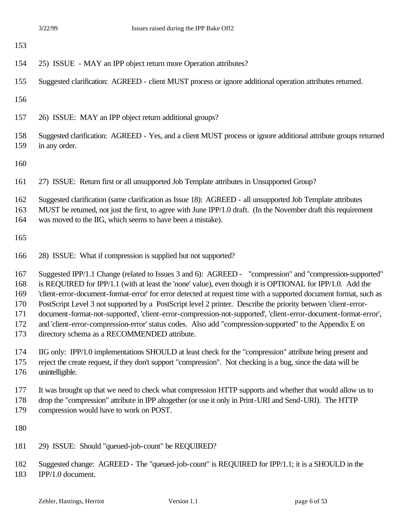| 153                                           |                                                                                                                                                                                                                                                                                                                                                                                                                                                                                                                                                                                                                                                                                                                                             |
|-----------------------------------------------|---------------------------------------------------------------------------------------------------------------------------------------------------------------------------------------------------------------------------------------------------------------------------------------------------------------------------------------------------------------------------------------------------------------------------------------------------------------------------------------------------------------------------------------------------------------------------------------------------------------------------------------------------------------------------------------------------------------------------------------------|
| 154                                           | 25) ISSUE - MAY an IPP object return more Operation attributes?                                                                                                                                                                                                                                                                                                                                                                                                                                                                                                                                                                                                                                                                             |
| 155                                           | Suggested clarification: AGREED - client MUST process or ignore additional operation attributes returned.                                                                                                                                                                                                                                                                                                                                                                                                                                                                                                                                                                                                                                   |
| 156                                           |                                                                                                                                                                                                                                                                                                                                                                                                                                                                                                                                                                                                                                                                                                                                             |
| 157                                           | 26) ISSUE: MAY an IPP object return additional groups?                                                                                                                                                                                                                                                                                                                                                                                                                                                                                                                                                                                                                                                                                      |
| 158<br>159                                    | Suggested clarification: AGREED - Yes, and a client MUST process or ignore additional attribute groups returned<br>in any order.                                                                                                                                                                                                                                                                                                                                                                                                                                                                                                                                                                                                            |
| 160                                           |                                                                                                                                                                                                                                                                                                                                                                                                                                                                                                                                                                                                                                                                                                                                             |
| 161                                           | 27) ISSUE: Return first or all unsupported Job Template attributes in Unsupported Group?                                                                                                                                                                                                                                                                                                                                                                                                                                                                                                                                                                                                                                                    |
| 162<br>163<br>164                             | Suggested clarification (same clarification as Issue 18): AGREED - all unsupported Job Template attributes<br>MUST be returned, not just the first, to agree with June IPP/1.0 draft. (In the November draft this requirement<br>was moved to the IIG, which seems to have been a mistake).                                                                                                                                                                                                                                                                                                                                                                                                                                                 |
| 165                                           |                                                                                                                                                                                                                                                                                                                                                                                                                                                                                                                                                                                                                                                                                                                                             |
| 166                                           | 28) ISSUE: What if compression is supplied but not supported?                                                                                                                                                                                                                                                                                                                                                                                                                                                                                                                                                                                                                                                                               |
| 167<br>168<br>169<br>170<br>171<br>172<br>173 | Suggested IPP/1.1 Change (related to Issues 3 and 6): AGREED - "compression" and "compression-supported"<br>is REQUIRED for IPP/1.1 (with at least the 'none' value), even though it is OPTIONAL for IPP/1.0. Add the<br>'client-error-document-format-error' for error detected at request time with a supported document format, such as<br>PostScript Level 3 not supported by a PostScript level 2 printer. Describe the priority between 'client-error-<br>document-format-not-supported', 'client-error-compression-not-supported', 'client-error-document-format-error',<br>and 'client-error-compression-error' status codes. Also add "compression-supported" to the Appendix E on<br>directory schema as a RECOMMENDED attribute. |
| 174<br>175<br>176                             | IIG only: IPP/1.0 implementations SHOULD at least check for the "compression" attribute being present and<br>reject the create request, if they don't support "compression". Not checking is a bug, since the data will be<br>unintelligible.                                                                                                                                                                                                                                                                                                                                                                                                                                                                                               |
| 177<br>178<br>179                             | It was brought up that we need to check what compression HTTP supports and whether that would allow us to<br>drop the "compression" attribute in IPP altogether (or use it only in Print-URI and Send-URI). The HTTP<br>compression would have to work on POST.                                                                                                                                                                                                                                                                                                                                                                                                                                                                             |
| 180                                           |                                                                                                                                                                                                                                                                                                                                                                                                                                                                                                                                                                                                                                                                                                                                             |
| 181                                           | 29) ISSUE: Should "queued-job-count" be REQUIRED?                                                                                                                                                                                                                                                                                                                                                                                                                                                                                                                                                                                                                                                                                           |
| 102                                           | change. ACDEED. The "ground ich count" is DEOUDED for DD01.1, it is a CHOULD in the                                                                                                                                                                                                                                                                                                                                                                                                                                                                                                                                                                                                                                                         |

 Suggested change: AGREED - The "queued-job-count" is REQUIRED for IPP/1.1; it is a SHOULD in the IPP/1.0 document.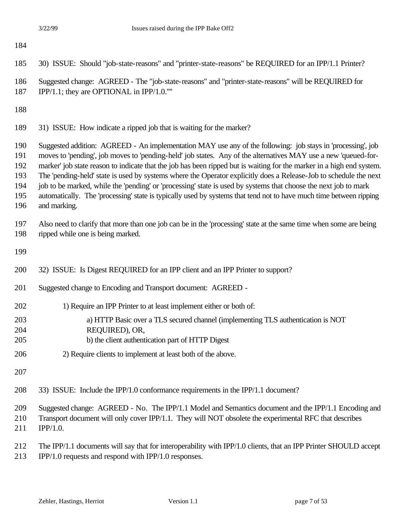30) ISSUE: Should "job-state-reasons" and "printer-state-reasons" be REQUIRED for an IPP/1.1 Printer?

- Suggested change: AGREED The "job-state-reasons" and "printer-state-reasons" will be REQUIRED for
- IPP/1.1; they are OPTIONAL in IPP/1.0.''''
- 
- 31) ISSUE: How indicate a ripped job that is waiting for the marker?

 Suggested addition: AGREED - An implementation MAY use any of the following: job stays in 'processing', job moves to 'pending', job moves to 'pending-held' job states. Any of the alternatives MAY use a new 'queued-for-

marker' job state reason to indicate that the job has been ripped but is waiting for the marker in a high end system.

The 'pending-held' state is used by systems where the Operator explicitly does a Release-Job to schedule the next

job to be marked, while the 'pending' or 'processing' state is used by systems that choose the next job to mark

- automatically. The 'processing' state is typically used by systems that tend not to have much time between ripping
- and marking.

 Also need to clarify that more than one job can be in the 'processing' state at the same time when some are being ripped while one is being marked.

| 200 | 32) ISSUE: Is Digest REQUIRED for an IPP client and an IPP Printer to support?                       |
|-----|------------------------------------------------------------------------------------------------------|
| 201 | Suggested change to Encoding and Transport document: AGREED -                                        |
| 202 | 1) Require an IPP Printer to at least implement either or both of:                                   |
| 203 | a) HTTP Basic over a TLS secured channel (implementing TLS authentication is NOT                     |
| 204 | REQUIRED), OR,                                                                                       |
| 205 | b) the client authentication part of HTTP Digest                                                     |
| 206 | 2) Require clients to implement at least both of the above.                                          |
| 207 |                                                                                                      |
| 208 | 33) ISSUE: Include the IPP/1.0 conformance requirements in the IPP/1.1 document?                     |
| 209 | Suggested change: AGREED - No. The IPP/1.1 Model and Semantics document and the IPP/1.1 Encoding and |

- Transport document will only cover IPP/1.1. They will NOT obsolete the experimental RFC that describes
- IPP/1.0.
- The IPP/1.1 documents will say that for interoperability with IPP/1.0 clients, that an IPP Printer SHOULD accept IPP/1.0 requests and respond with IPP/1.0 responses.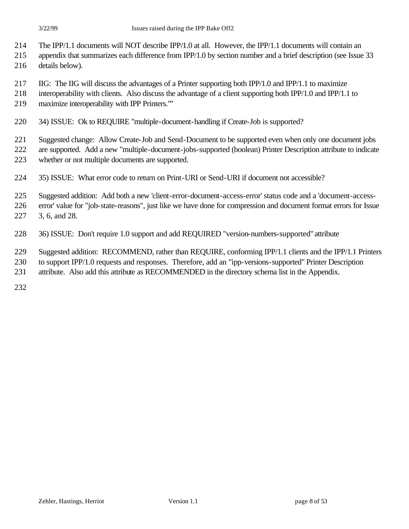- The IPP/1.1 documents will NOT describe IPP/1.0 at all. However, the IPP/1.1 documents will contain an
- appendix that summarizes each difference from IPP/1.0 by section number and a brief description (see Issue 33
- details below).
- IIG: The IIG will discuss the advantages of a Printer supporting both IPP/1.0 and IPP/1.1 to maximize
- interoperability with clients. Also discuss the advantage of a client supporting both IPP/1.0 and IPP/1.1 to
- maximize interoperability with IPP Printers.""
- 34) ISSUE: Ok to REQUIRE "multiple-document-handling if Create-Job is supported?

Suggested change: Allow Create-Job and Send-Document to be supported even when only one document jobs

are supported. Add a new "multiple-document-jobs-supported (boolean) Printer Description attribute to indicate

- whether or not multiple documents are supported.
- 35) ISSUE: What error code to return on Print-URI or Send-URI if document not accessible?
- Suggested addition: Add both a new 'client-error-document-access-error' status code and a 'document-access-
- error' value for "job-state-reasons", just like we have done for compression and document format errors for Issue 3, 6, and 28.
- 36) ISSUE: Don't require 1.0 support and add REQUIRED "version-numbers-supported" attribute
- Suggested addition: RECOMMEND, rather than REQUIRE, conforming IPP/1.1 clients and the IPP/1.1 Printers
- to support IPP/1.0 requests and responses. Therefore, add an "ipp-versions-supported" Printer Description
- attribute. Also add this attribute as RECOMMENDED in the directory schema list in the Appendix.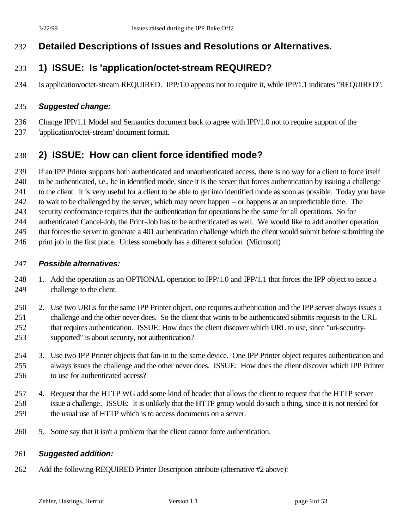# **Detailed Descriptions of Issues and Resolutions or Alternatives.**

# **1) ISSUE: Is 'application/octet-stream REQUIRED?**

Is application/octet-stream REQUIRED. IPP/1.0 appears not to require it, while IPP/1.1 indicates "REQUIRED".

#### *Suggested change:*

 Change IPP/1.1 Model and Semantics document back to agree with IPP/1.0 not to require support of the 'application/octet-stream' document format.

# **2) ISSUE: How can client force identified mode?**

If an IPP Printer supports both authenticated and unauthenticated access, there is no way for a client to force itself

to be authenticated, i.e., be in identified mode, since it is the server that forces authentication by issuing a challenge

to the client. It is very useful for a client to be able to get into identified mode as soon as possible. Today you have

to wait to be challenged by the server, which may never happen – or happens at an unpredictable time. The

 security conformance requires that the authentication for operations be the same for all operations. So for authenticated Cancel-Job, the Print-Job has to be authenticated as well. We would like to add another operation

that forces the server to generate a 401 authentication challenge which the client would submit before submitting the

print job in the first place. Unless somebody has a different solution (Microsoft)

#### *Possible alternatives:*

- 248 1. Add the operation as an OPTIONAL operation to IPP/1.0 and IPP/1.1 that forces the IPP object to issue a challenge to the client.
- 2. Use two URLs for the same IPP Printer object, one requires authentication and the IPP server always issues a challenge and the other never does. So the client that wants to be authenticated submits requests to the URL that requires authentication. ISSUE: How does the client discover which URL to use, since "uri-security-supported" is about security, not authentication?
- 3. Use two IPP Printer objects that fan-in to the same device. One IPP Printer object requires authentication and always issues the challenge and the other never does. ISSUE: How does the client discover which IPP Printer to use for authenticated access?
- 4. Request that the HTTP WG add some kind of header that allows the client to request that the HTTP server issue a challenge. ISSUE: It is unlikely that the HTTP group would do such a thing, since it is not needed for the usual use of HTTP which is to access documents on a server.
- 5. Some say that it isn't a problem that the client cannot force authentication.

#### *Suggested addition:*

Add the following REQUIRED Printer Description attribute (alternative #2 above):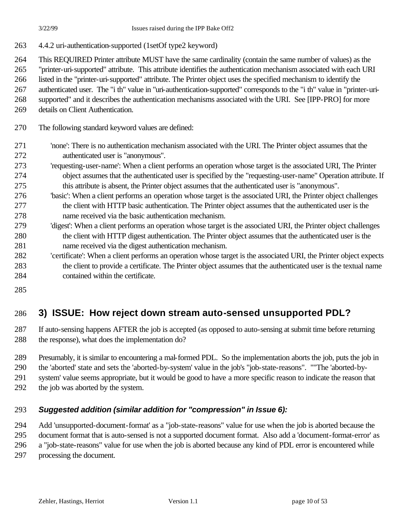- 4.4.2 uri-authentication-supported (1setOf type2 keyword)
- This REQUIRED Printer attribute MUST have the same cardinality (contain the same number of values) as the
- "printer-uri-supported" attribute. This attribute identifies the authentication mechanism associated with each URI
- listed in the "printer-uri-supported" attribute. The Printer object uses the specified mechanism to identify the
- authenticated user. The "i th" value in "uri-authentication-supported" corresponds to the "i th" value in "printer-uri-
- supported" and it describes the authentication mechanisms associated with the URI. See [IPP-PRO] for more
- details on Client Authentication.
- The following standard keyword values are defined:
- 'none': There is no authentication mechanism associated with the URI. The Printer object assumes that the authenticated user is "anonymous".
- 'requesting-user-name': When a client performs an operation whose target is the associated URI, The Printer object assumes that the authenticated user is specified by the "requesting-user-name" Operation attribute. If this attribute is absent, the Printer object assumes that the authenticated user is "anonymous".
- 'basic': When a client performs an operation whose target is the associated URI, the Printer object challenges the client with HTTP basic authentication. The Printer object assumes that the authenticated user is the name received via the basic authentication mechanism.
- 'digest': When a client performs an operation whose target is the associated URI, the Printer object challenges the client with HTTP digest authentication. The Printer object assumes that the authenticated user is the name received via the digest authentication mechanism.
- 'certificate': When a client performs an operation whose target is the associated URI, the Printer object expects the client to provide a certificate. The Printer object assumes that the authenticated user is the textual name contained within the certificate.
- 

# **3) ISSUE: How reject down stream auto-sensed unsupported PDL?**

- If auto-sensing happens AFTER the job is accepted (as opposed to auto-sensing at submit time before returning the response), what does the implementation do?
- Presumably, it is similar to encountering a mal-formed PDL. So the implementation aborts the job, puts the job in
- the 'aborted' state and sets the 'aborted-by-system' value in the job's "job-state-reasons". ""The 'aborted-by-
- system' value seems appropriate, but it would be good to have a more specific reason to indicate the reason that
- the job was aborted by the system.

### *Suggested addition (similar addition for "compression" in Issue 6):*

 Add 'unsupported-document-format' as a "job-state-reasons" value for use when the job is aborted because the document format that is auto-sensed is not a supported document format. Also add a 'document-format-error' as a "job-state-reasons" value for use when the job is aborted because any kind of PDL error is encountered while processing the document.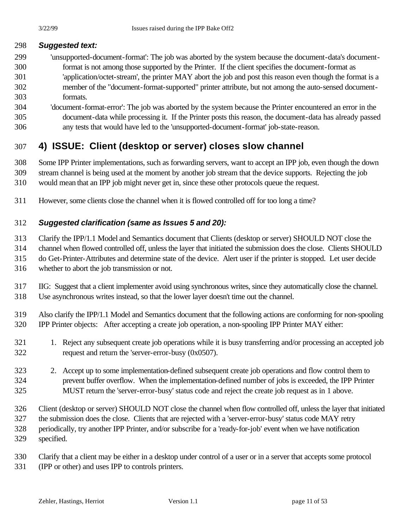#### *Suggested text:*

- 'unsupported-document-format': The job was aborted by the system because the document-data's document- format is not among those supported by the Printer. If the client specifies the document-format as 'application/octet-stream', the printer MAY abort the job and post this reason even though the format is a member of the "document-format-supported" printer attribute, but not among the auto-sensed document-formats.
- 'document-format-error': The job was aborted by the system because the Printer encountered an error in the document-data while processing it. If the Printer posts this reason, the document-data has already passed any tests that would have led to the 'unsupported-document-format' job-state-reason.

# **4) ISSUE: Client (desktop or server) closes slow channel**

 Some IPP Printer implementations, such as forwarding servers, want to accept an IPP job, even though the down stream channel is being used at the moment by another job stream that the device supports. Rejecting the job would mean that an IPP job might never get in, since these other protocols queue the request.

However, some clients close the channel when it is flowed controlled off for too long a time?

### *Suggested clarification (same as Issues 5 and 20):*

 Clarify the IPP/1.1 Model and Semantics document that Clients (desktop or server) SHOULD NOT close the channel when flowed controlled off, unless the layer that initiated the submission does the close. Clients SHOULD do Get-Printer-Attributes and determine state of the device. Alert user if the printer is stopped. Let user decide

- whether to abort the job transmission or not.
- IIG: Suggest that a client implementer avoid using synchronous writes, since they automatically close the channel. Use asynchronous writes instead, so that the lower layer doesn't time out the channel.
- Also clarify the IPP/1.1 Model and Semantics document that the following actions are conforming for non-spooling IPP Printer objects: After accepting a create job operation, a non-spooling IPP Printer MAY either:
- 1. Reject any subsequent create job operations while it is busy transferring and/or processing an accepted job request and return the 'server-error-busy (0x0507).
- 2. Accept up to some implementation-defined subsequent create job operations and flow control them to prevent buffer overflow. When the implementation-defined number of jobs is exceeded, the IPP Printer MUST return the 'server-error-busy' status code and reject the create job request as in 1 above.

Client (desktop or server) SHOULD NOT close the channel when flow controlled off, unless the layer that initiated

- the submission does the close. Clients that are rejected with a 'server-error-busy' status code MAY retry
- periodically, try another IPP Printer, and/or subscribe for a 'ready-for-job' event when we have notification specified.
- Clarify that a client may be either in a desktop under control of a user or in a server that accepts some protocol (IPP or other) and uses IPP to controls printers.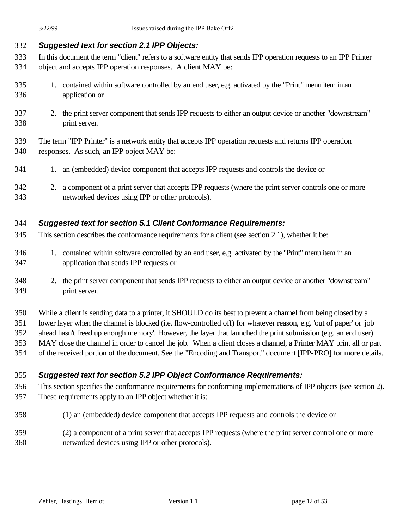### *Suggested text for section 2.1 IPP Objects:*

- In this document the term "client" refers to a software entity that sends IPP operation requests to an IPP Printer object and accepts IPP operation responses. A client MAY be:
- 1. contained within software controlled by an end user, e.g. activated by the "Print" menu item in an application or
- 2. the print server component that sends IPP requests to either an output device or another "downstream" print server.
- The term "IPP Printer" is a network entity that accepts IPP operation requests and returns IPP operation responses. As such, an IPP object MAY be:
- 341 1. an (embedded) device component that accepts IPP requests and controls the device or
- 2. a component of a print server that accepts IPP requests (where the print server controls one or more networked devices using IPP or other protocols).

### *Suggested text for section 5.1 Client Conformance Requirements:*

- This section describes the conformance requirements for a client (see section 2.1), whether it be:
- 1. contained within software controlled by an end user, e.g. activated by the "Print" menu item in an application that sends IPP requests or
- 2. the print server component that sends IPP requests to either an output device or another "downstream" print server.
- While a client is sending data to a printer, it SHOULD do its best to prevent a channel from being closed by a lower layer when the channel is blocked (i.e. flow-controlled off) for whatever reason, e.g. 'out of paper' or 'job ahead hasn't freed up enough memory'. However, the layer that launched the print submission (e.g. an end user) MAY close the channel in order to cancel the job. When a client closes a channel, a Printer MAY print all or part
- of the received portion of the document. See the "Encoding and Transport" document [IPP-PRO] for more details.

## *Suggested text for section 5.2 IPP Object Conformance Requirements:*

- This section specifies the conformance requirements for conforming implementations of IPP objects (see section 2). These requirements apply to an IPP object whether it is:
- (1) an (embedded) device component that accepts IPP requests and controls the device or
- (2) a component of a print server that accepts IPP requests (where the print server control one or more networked devices using IPP or other protocols).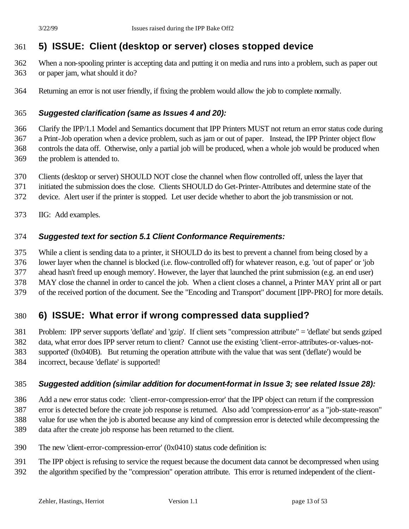# **5) ISSUE: Client (desktop or server) closes stopped device**

- When a non-spooling printer is accepting data and putting it on media and runs into a problem, such as paper out
- or paper jam, what should it do?
- Returning an error is not user friendly, if fixing the problem would allow the job to complete normally.

### *Suggested clarification (same as Issues 4 and 20):*

 Clarify the IPP/1.1 Model and Semantics document that IPP Printers MUST not return an error status code during a Print-Job operation when a device problem, such as jam or out of paper. Instead, the IPP Printer object flow controls the data off. Otherwise, only a partial job will be produced, when a whole job would be produced when the problem is attended to.

- Clients (desktop or server) SHOULD NOT close the channel when flow controlled off, unless the layer that
- initiated the submission does the close. Clients SHOULD do Get-Printer-Attributes and determine state of the
- device. Alert user if the printer is stopped. Let user decide whether to abort the job transmission or not.
- IIG: Add examples.

#### *Suggested text for section 5.1 Client Conformance Requirements:*

While a client is sending data to a printer, it SHOULD do its best to prevent a channel from being closed by a

lower layer when the channel is blocked (i.e. flow-controlled off) for whatever reason, e.g. 'out of paper' or 'job

ahead hasn't freed up enough memory'. However, the layer that launched the print submission (e.g. an end user)

 MAY close the channel in order to cancel the job. When a client closes a channel, a Printer MAY print all or part of the received portion of the document. See the "Encoding and Transport" document [IPP-PRO] for more details.

## **6) ISSUE: What error if wrong compressed data supplied?**

 Problem: IPP server supports 'deflate' and 'gzip'. If client sets "compression attribute" = 'deflate' but sends gziped data, what error does IPP server return to client? Cannot use the existing 'client-error-attributes-or-values-not- supported' (0x040B). But returning the operation attribute with the value that was sent ('deflate') would be incorrect, because 'deflate' is supported!

#### *Suggested addition (similar addition for document-format in Issue 3; see related Issue 28):*

 Add a new error status code: 'client-error-compression-error' that the IPP object can return if the compression error is detected before the create job response is returned. Also add 'compression-error' as a "job-state-reason" value for use when the job is aborted because any kind of compression error is detected while decompressing the data after the create job response has been returned to the client.

- The new 'client-error-compression-error' (0x0410) status code definition is:
- The IPP object is refusing to service the request because the document data cannot be decompressed when using
- the algorithm specified by the "compression" operation attribute. This error is returned independent of the client-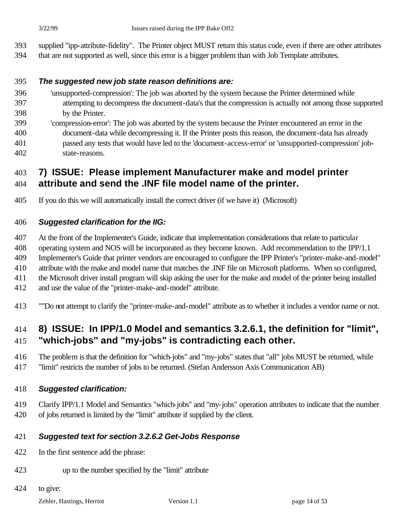- supplied "ipp-attribute-fidelity". The Printer object MUST return this status code, even if there are other attributes
- that are not supported as well, since this error is a bigger problem than with Job Template attributes.

#### *The suggested new job state reason definitions are:*

- 'unsupported-compression': The job was aborted by the system because the Printer determined while attempting to decompress the document-data's that the compression is actually not among those supported by the Printer.
- 'compression-error': The job was aborted by the system because the Printer encountered an error in the document-data while decompressing it. If the Printer posts this reason, the document-data has already passed any tests that would have led to the 'document-access-error' or 'unsupported-compression' job-state-reasons.

### **7) ISSUE: Please implement Manufacturer make and model printer attribute and send the .INF file model name of the printer.**

If you do this we will automatically install the correct driver (if we have it) (Microsoft)

#### *Suggested clarification for the IIG:*

At the front of the Implementer's Guide, indicate that implementation considerations that relate to particular

operating system and NOS will be incorporated as they become known. Add recommendation to the IPP/1.1

 Implementer's Guide that printer vendors are encouraged to configure the IPP Printer's "printer-make-and-model" attribute with the make and model name that matches the .INF file on Microsoft platforms. When so configured,

the Microsoft driver install program will skip asking the user for the make and model of the printer being installed

and use the value of the "printer-make-and-model" attribute.

""Do not attempt to clarify the "printer-make-and-model" attribute as to whether it includes a vendor name or not.

## **8) ISSUE: In IPP/1.0 Model and semantics 3.2.6.1, the definition for "limit", "which-jobs" and "my-jobs" is contradicting each other.**

 The problem is that the definition for "which-jobs" and "my-jobs" states that "all" jobs MUST be returned, while "limit" restricts the number of jobs to be returned. (Stefan Andersson Axis Communication AB)

#### *Suggested clarification:*

 Clarify IPP/1.1 Model and Semantics "which-jobs" and "my-jobs" operation attributes to indicate that the number of jobs returned is limited by the "limit" attribute if supplied by the client.

#### *Suggested text for section 3.2.6.2 Get-Jobs Response*

- In the first sentence add the phrase:
- up to the number specified by the "limit" attribute
- to give:

Zehler, Hastings, Herriot Version 1.1 page 14 of 53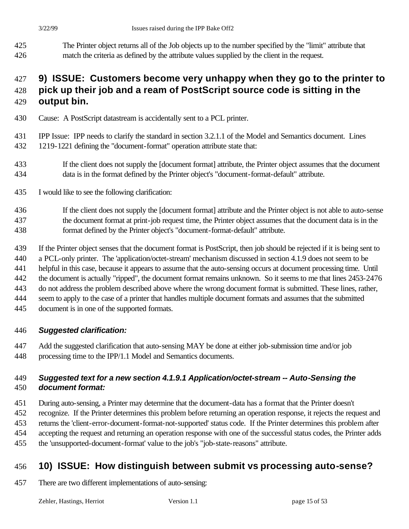The Printer object returns all of the Job objects up to the number specified by the "limit" attribute that match the criteria as defined by the attribute values supplied by the client in the request.

## **9) ISSUE: Customers become very unhappy when they go to the printer to pick up their job and a ream of PostScript source code is sitting in the**

- **output bin.**
- Cause: A PostScript datastream is accidentally sent to a PCL printer.
- IPP Issue: IPP needs to clarify the standard in section 3.2.1.1 of the Model and Semantics document. Lines 1219-1221 defining the "document-format" operation attribute state that:
- If the client does not supply the [document format] attribute, the Printer object assumes that the document data is in the format defined by the Printer object's "document-format-default" attribute.
- I would like to see the following clarification:
- If the client does not supply the [document format] attribute and the Printer object is not able to auto-sense the document format at print-job request time, the Printer object assumes that the document data is in the format defined by the Printer object's "document-format-default" attribute.
- If the Printer object senses that the document format is PostScript, then job should be rejected if it is being sent to
- a PCL-only printer. The 'application/octet-stream' mechanism discussed in section 4.1.9 does not seem to be
- helpful in this case, because it appears to assume that the auto-sensing occurs at document processing time. Until
- the document is actually "ripped", the document format remains unknown. So it seems to me that lines 2453-2476
- do not address the problem described above where the wrong document format is submitted. These lines, rather,
- seem to apply to the case of a printer that handles multiple document formats and assumes that the submitted
- document is in one of the supported formats.

### *Suggested clarification:*

 Add the suggested clarification that auto-sensing MAY be done at either job-submission time and/or job processing time to the IPP/1.1 Model and Semantics documents.

### *Suggested text for a new section 4.1.9.1 Application/octet-stream -- Auto-Sensing the document format:*

- During auto-sensing, a Printer may determine that the document-data has a format that the Printer doesn't
- recognize. If the Printer determines this problem before returning an operation response, it rejects the request and returns the 'client-error-document-format-not-supported' status code. If the Printer determines this problem after
- accepting the request and returning an operation response with one of the successful status codes, the Printer adds
- the 'unsupported-document-format' value to the job's "job-state-reasons" attribute.

# **10) ISSUE: How distinguish between submit vs processing auto-sense?**

There are two different implementations of auto-sensing: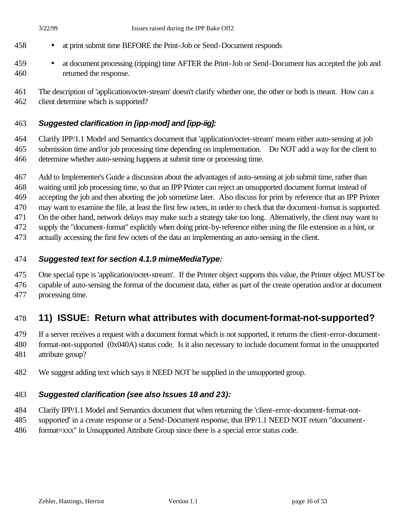- at print submit time BEFORE the Print-Job or Send-Document responds
- at document processing (ripping) time AFTER the Print-Job or Send-Document has accepted the job and returned the response.
- The description of 'application/octet-stream' doesn't clarify whether one, the other or both is meant. How can a client determine which is supported?

#### *Suggested clarification in [ipp-mod] and [ipp-iig]:*

 Clarify IPP/1.1 Model and Semantics document that 'application/octet-stream' means either auto-sensing at job submission time and/or job processing time depending on implementation. Do NOT add a way for the client to determine whether auto-sensing happens at submit time or processing time.

 Add to Implementer's Guide a discussion about the advantages of auto-sensing at job submit time, rather than waiting until job processing time, so that an IPP Printer can reject an unsupported document format instead of accepting the job and then aborting the job sometime later. Also discuss for print by reference that an IPP Printer may want to examine the file, at least the first few octets, in order to check that the document-format is supported. On the other hand, network delays may make such a strategy take too long. Alternatively, the client may want to supply the "document-format" explicitly when doing print-by-reference either using the file extension as a hint, or

actually accessing the first few octets of the data an implementing an auto-sensing in the client.

#### *Suggested text for section 4.1.9 mimeMediaType:*

One special type is 'application/octet-stream'. If the Printer object supports this value, the Printer object MUST be

 capable of auto-sensing the format of the document data, either as part of the create operation and/or at document processing time.

## **11) ISSUE: Return what attributes with document-format-not-supported?**

 If a server receives a request with a document format which is not supported, it returns the client-error-document- format-not-supported (0x040A) status code. Is it also necessary to include document format in the unsupported attribute group?

We suggest adding text which says it NEED NOT be supplied in the unsupported group.

#### *Suggested clarification (see also Issues 18 and 23):*

Clarify IPP/1.1 Model and Semantics document that when returning the 'client-error-document-format-not-

- supported' in a create response or a Send-Document response, that IPP/1.1 NEED NOT return "document-
- format=xxx" in Unsupported Attribute Group since there is a special error status code.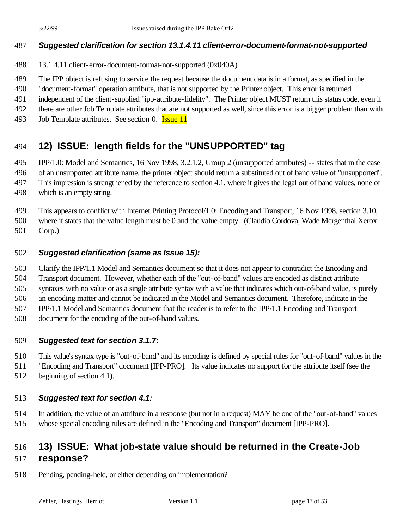#### *Suggested clarification for section 13.1.4.11 client-error-document-format-not-supported*

- 13.1.4.11 client-error-document-format-not-supported (0x040A)
- The IPP object is refusing to service the request because the document data is in a format, as specified in the
- "document-format" operation attribute, that is not supported by the Printer object. This error is returned
- independent of the client-supplied "ipp-attribute-fidelity". The Printer object MUST return this status code, even if
- there are other Job Template attributes that are not supported as well, since this error is a bigger problem than with
- 493 Job Template attributes. See section 0. **Issue 11**

# **12) ISSUE: length fields for the "UNSUPPORTED" tag**

 IPP/1.0: Model and Semantics, 16 Nov 1998, 3.2.1.2, Group 2 (unsupported attributes) -- states that in the case of an unsupported attribute name, the printer object should return a substituted out of band value of "unsupported". This impression is strengthened by the reference to section 4.1, where it gives the legal out of band values, none of

which is an empty string.

This appears to conflict with Internet Printing Protocol/1.0: Encoding and Transport, 16 Nov 1998, section 3.10,

 where it states that the value length must be 0 and the value empty. (Claudio Cordova, Wade Mergenthal Xerox Corp.)

#### *Suggested clarification (same as Issue 15):*

 Clarify the IPP/1.1 Model and Semantics document so that it does not appear to contradict the Encoding and Transport document. However, whether each of the "out-of-band" values are encoded as distinct attribute syntaxes with no value or as a single attribute syntax with a value that indicates which out-of-band value, is purely an encoding matter and cannot be indicated in the Model and Semantics document. Therefore, indicate in the IPP/1.1 Model and Semantics document that the reader is to refer to the IPP/1.1 Encoding and Transport

document for the encoding of the out-of-band values.

#### *Suggested text for section 3.1.7:*

This value's syntax type is "out-of-band" and its encoding is defined by special rules for "out-of-band" values in the

"Encoding and Transport" document [IPP-PRO]. Its value indicates no support for the attribute itself (see the

beginning of section 4.1).

#### *Suggested text for section 4.1:*

 In addition, the value of an attribute in a response (but not in a request) MAY be one of the "out-of-band" values whose special encoding rules are defined in the "Encoding and Transport" document [IPP-PRO].

## **13) ISSUE: What job-state value should be returned in the Create-Job response?**

Pending, pending-held, or either depending on implementation?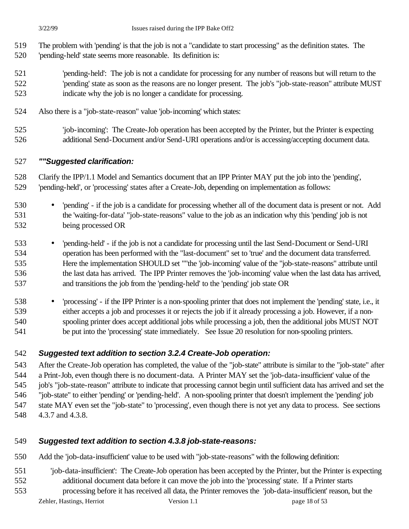- The problem with 'pending' is that the job is not a "candidate to start processing" as the definition states. The
- 'pending-held' state seems more reasonable. Its definition is:
- 'pending-held': The job is not a candidate for processing for any number of reasons but will return to the 'pending' state as soon as the reasons are no longer present. The job's "job-state-reason" attribute MUST indicate why the job is no longer a candidate for processing.
- Also there is a "job-state-reason" value 'job-incoming' which states:
- 'job-incoming': The Create-Job operation has been accepted by the Printer, but the Printer is expecting additional Send-Document and/or Send-URI operations and/or is accessing/accepting document data.

## *""Suggested clarification:*

 Clarify the IPP/1.1 Model and Semantics document that an IPP Printer MAY put the job into the 'pending', 'pending-held', or 'processing' states after a Create-Job, depending on implementation as follows:

- 'pending' if the job is a candidate for processing whether all of the document data is present or not. Add the 'waiting-for-data' "job-state-reasons" value to the job as an indication why this 'pending' job is not being processed OR
- 'pending-held' if the job is not a candidate for processing until the last Send-Document or Send-URI operation has been performed with the "last-document" set to 'true' and the document data transferred. Here the implementation SHOULD set ""the 'job-incoming' value of the "job-state-reasons" attribute until the last data has arrived. The IPP Printer removes the 'job-incoming' value when the last data has arrived, and transitions the job from the 'pending-held' to the 'pending' job state OR
- 'processing' if the IPP Printer is a non-spooling printer that does not implement the 'pending' state, i.e., it either accepts a job and processes it or rejects the job if it already processing a job. However, if a non- spooling printer does accept additional jobs while processing a job, then the additional jobs MUST NOT be put into the 'processing' state immediately. See Issue 20 resolution for non-spooling printers.

## *Suggested text addition to section 3.2.4 Create-Job operation:*

 After the Create-Job operation has completed, the value of the "job-state" attribute is similar to the "job-state" after a Print-Job, even though there is no document-data. A Printer MAY set the 'job-data-insufficient' value of the job's "job-state-reason" attribute to indicate that processing cannot begin until sufficient data has arrived and set the "job-state" to either 'pending' or 'pending-held'. A non-spooling printer that doesn't implement the 'pending' job state MAY even set the "job-state" to 'processing', even though there is not yet any data to process. See sections 4.3.7 and 4.3.8.

## *Suggested text addition to section 4.3.8 job-state-reasons:*

Add the 'job-data-insufficient' value to be used with "job-state-reasons" with the following definition:

- 'job-data-insufficient': The Create-Job operation has been accepted by the Printer, but the Printer is expecting additional document data before it can move the job into the 'processing' state. If a Printer starts
- Zehler, Hastings, Herriot Version 1.1 page 18 of 53 processing before it has received all data, the Printer removes the 'job-data-insufficient' reason, but the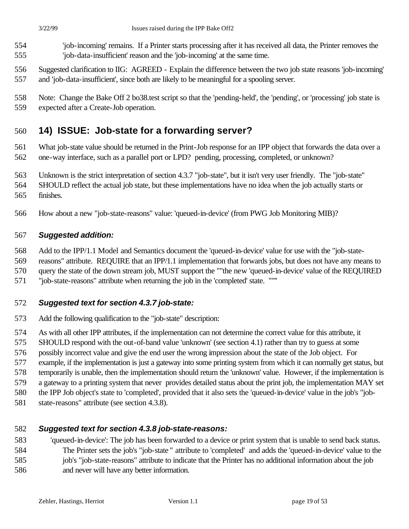- 'job-incoming' remains. If a Printer starts processing after it has received all data, the Printer removes the 'job-data-insufficient' reason and the 'job-incoming' at the same time.
- Suggested clarification to IIG: AGREED Explain the difference between the two job state reasons 'job-incoming' and 'job-data-insufficient', since both are likely to be meaningful for a spooling server.
- Note: Change the Bake Off 2 bo38.test script so that the 'pending-held', the 'pending', or 'processing' job state is
- expected after a Create-Job operation.

## **14) ISSUE: Job-state for a forwarding server?**

 What job-state value should be returned in the Print-Job response for an IPP object that forwards the data over a one-way interface, such as a parallel port or LPD? pending, processing, completed, or unknown?

- Unknown is the strict interpretation of section 4.3.7 "job-state", but it isn't very user friendly. The "job-state"
- SHOULD reflect the actual job state, but these implementations have no idea when the job actually starts or
- finishes.
- How about a new "job-state-reasons" value: 'queued-in-device' (from PWG Job Monitoring MIB)?

#### *Suggested addition:*

Add to the IPP/1.1 Model and Semantics document the 'queued-in-device' value for use with the "job-state-

reasons" attribute. REQUIRE that an IPP/1.1 implementation that forwards jobs, but does not have any means to

query the state of the down stream job, MUST support the ""the new 'queued-in-device' value of the REQUIRED

"job-state-reasons" attribute when returning the job in the 'completed' state. ""''

#### *Suggested text for section 4.3.7 job-state:*

Add the following qualification to the "job-state" description:

As with all other IPP attributes, if the implementation can not determine the correct value for this attribute, it

SHOULD respond with the out-of-band value 'unknown' (see section 4.1) rather than try to guess at some

possibly incorrect value and give the end user the wrong impression about the state of the Job object. For

example, if the implementation is just a gateway into some printing system from which it can normally get status, but

- temporarily is unable, then the implementation should return the 'unknown' value. However, if the implementation is
- a gateway to a printing system that never provides detailed status about the print job, the implementation MAY set
- the IPP Job object's state to 'completed', provided that it also sets the 'queued-in-device' value in the job's "job-
- state-reasons" attribute (see section 4.3.8).

#### *Suggested text for section 4.3.8 job-state-reasons:*

 'queued-in-device': The job has been forwarded to a device or print system that is unable to send back status. The Printer sets the job's "job-state " attribute to 'completed' and adds the 'queued-in-device' value to the job's "job-state-reasons" attribute to indicate that the Printer has no additional information about the job and never will have any better information.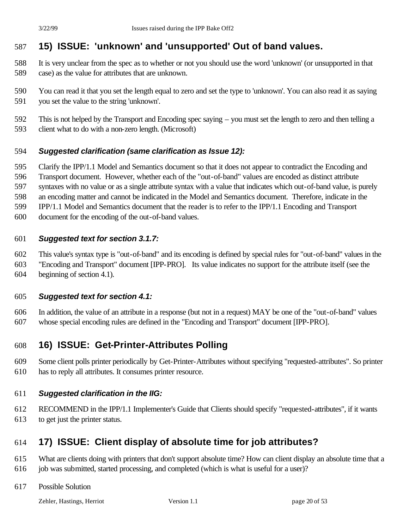# **15) ISSUE: 'unknown' and 'unsupported' Out of band values.**

- It is very unclear from the spec as to whether or not you should use the word 'unknown' (or unsupported in that case) as the value for attributes that are unknown.
- You can read it that you set the length equal to zero and set the type to 'unknown'. You can also read it as saying you set the value to the string 'unknown'.
- This is not helped by the Transport and Encoding spec saying you must set the length to zero and then telling a client what to do with a non-zero length. (Microsoft)

#### *Suggested clarification (same clarification as Issue 12):*

Clarify the IPP/1.1 Model and Semantics document so that it does not appear to contradict the Encoding and

Transport document. However, whether each of the "out-of-band" values are encoded as distinct attribute

syntaxes with no value or as a single attribute syntax with a value that indicates which out-of-band value, is purely

an encoding matter and cannot be indicated in the Model and Semantics document. Therefore, indicate in the

IPP/1.1 Model and Semantics document that the reader is to refer to the IPP/1.1 Encoding and Transport

document for the encoding of the out-of-band values.

#### *Suggested text for section 3.1.7:*

 This value's syntax type is "out-of-band" and its encoding is defined by special rules for "out-of-band" values in the "Encoding and Transport" document [IPP-PRO]. Its value indicates no support for the attribute itself (see the beginning of section 4.1).

#### *Suggested text for section 4.1:*

 In addition, the value of an attribute in a response (but not in a request) MAY be one of the "out-of-band" values whose special encoding rules are defined in the "Encoding and Transport" document [IPP-PRO].

## **16) ISSUE: Get-Printer-Attributes Polling**

 Some client polls printer periodically by Get-Printer-Attributes without specifying "requested-attributes". So printer has to reply all attributes. It consumes printer resource.

#### *Suggested clarification in the IIG:*

 RECOMMEND in the IPP/1.1 Implementer's Guide that Clients should specify "requested-attributes", if it wants to get just the printer status.

## **17) ISSUE: Client display of absolute time for job attributes?**

- What are clients doing with printers that don't support absolute time? How can client display an absolute time that a job was submitted, started processing, and completed (which is what is useful for a user)?
- Possible Solution

Zehler, Hastings, Herriot Version 1.1 page 20 of 53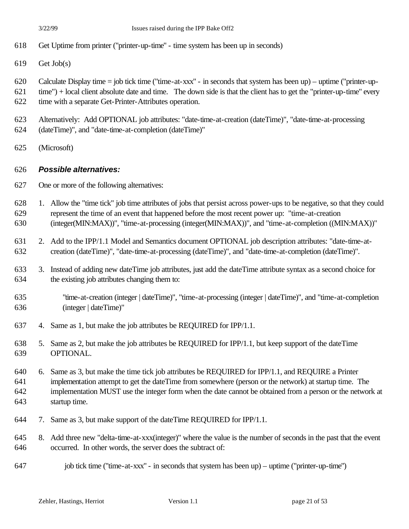- Get Uptime from printer ("printer-up-time" time system has been up in seconds)
- Get Job(s)
- Calculate Display time = job tick time ("time-at-xxx" in seconds that system has been up) uptime ("printer-up-
- time") + local client absolute date and time. The down side is that the client has to get the "printer-up-time" every time with a separate Get-Printer-Attributes operation.
- Alternatively: Add OPTIONAL job attributes: "date-time-at-creation (dateTime)", "date-time-at-processing
- (dateTime)", and "date-time-at-completion (dateTime)"
- (Microsoft)

#### *Possible alternatives:*

- One or more of the following alternatives:
- 1. Allow the "time tick" job time attributes of jobs that persist across power-ups to be negative, so that they could represent the time of an event that happened before the most recent power up: "time-at-creation (integer(MIN:MAX))", "time-at-processing (integer(MIN:MAX))", and "time-at-completion ((MIN:MAX))"
- 2. Add to the IPP/1.1 Model and Semantics document OPTIONAL job description attributes: "date-time-at-creation (dateTime)", "date-time-at-processing (dateTime)", and "date-time-at-completion (dateTime)".
- 3. Instead of adding new dateTime job attributes, just add the dateTime attribute syntax as a second choice for the existing job attributes changing them to:
- "time-at-creation (integer | dateTime)", "time-at-processing (integer | dateTime)", and "time-at-completion (integer | dateTime)"
- 4. Same as 1, but make the job attributes be REQUIRED for IPP/1.1.
- 5. Same as 2, but make the job attributes be REQUIRED for IPP/1.1, but keep support of the dateTime OPTIONAL.
- 6. Same as 3, but make the time tick job attributes be REQUIRED for IPP/1.1, and REQUIRE a Printer implementation attempt to get the dateTime from somewhere (person or the network) at startup time. The implementation MUST use the integer form when the date cannot be obtained from a person or the network at
- startup time.
- 7. Same as 3, but make support of the dateTime REQUIRED for IPP/1.1.
- 8. Add three new "delta-time-at-xxx(integer)" where the value is the number of seconds in the past that the event occurred. In other words, the server does the subtract of:
- 647 job tick time ("time-at-xxx" in seconds that system has been up) uptime ("printer-up-time")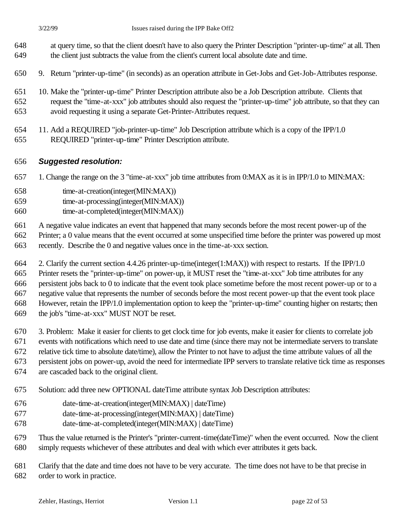- at query time, so that the client doesn't have to also query the Printer Description "printer-up-time" at all. Then the client just subtracts the value from the client's current local absolute date and time.
- 9. Return "printer-up-time" (in seconds) as an operation attribute in Get-Jobs and Get-Job-Attributes response.
- 10. Make the "printer-up-time" Printer Description attribute also be a Job Description attribute. Clients that request the "time-at-xxx" job attributes should also request the "printer-up-time" job attribute, so that they can avoid requesting it using a separate Get-Printer-Attributes request.
- 11. Add a REQUIRED "job-printer-up-time" Job Description attribute which is a copy of the IPP/1.0 REQUIRED "printer-up-time" Printer Description attribute.

#### *Suggested resolution:*

- 1. Change the range on the 3 "time-at-xxx" job time attributes from 0:MAX as it is in IPP/1.0 to MIN:MAX:
- time-at-creation(integer(MIN:MAX))
- time-at-processing(integer(MIN:MAX))
- time-at-completed(integer(MIN:MAX))

A negative value indicates an event that happened that many seconds before the most recent power-up of the

- Printer; a 0 value means that the event occurred at some unspecified time before the printer was powered up most
- recently. Describe the 0 and negative values once in the time-at-xxx section.
- 2. Clarify the current section 4.4.26 printer-up-time(integer(1:MAX)) with respect to restarts. If the IPP/1.0
- Printer resets the "printer-up-time" on power-up, it MUST reset the "time-at-xxx" Job time attributes for any

persistent jobs back to 0 to indicate that the event took place sometime before the most recent power-up or to a

negative value that represents the number of seconds before the most recent power-up that the event took place

However, retain the IPP/1.0 implementation option to keep the "printer-up-time" counting higher on restarts; then

- the job's "time-at-xxx" MUST NOT be reset.
- 3. Problem: Make it easier for clients to get clock time for job events, make it easier for clients to correlate job

events with notifications which need to use date and time (since there may not be intermediate servers to translate

relative tick time to absolute date/time), allow the Printer to not have to adjust the time attribute values of all the

persistent jobs on power-up, avoid the need for intermediate IPP servers to translate relative tick time as responses

- are cascaded back to the original client.
- Solution: add three new OPTIONAL dateTime attribute syntax Job Description attributes:
- date-time-at-creation(integer(MIN:MAX) | dateTime)
- date-time-at-processing(integer(MIN:MAX) | dateTime)
- date-time-at-completed(integer(MIN:MAX) | dateTime)

 Thus the value returned is the Printer's "printer-current-time(dateTime)" when the event occurred. Now the client simply requests whichever of these attributes and deal with which ever attributes it gets back.

 Clarify that the date and time does not have to be very accurate. The time does not have to be that precise in order to work in practice.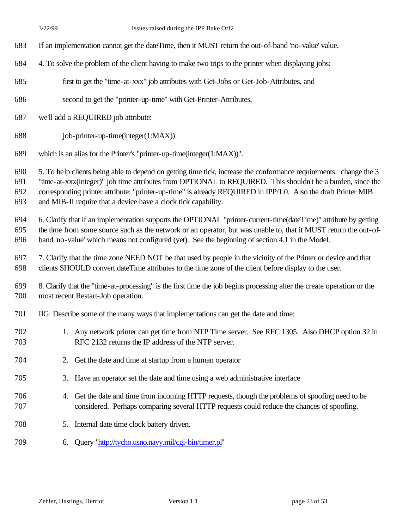- If an implementation cannot get the dateTime, then it MUST return the out-of-band 'no-value' value.
- 4. To solve the problem of the client having to make two trips to the printer when displaying jobs:
- first to get the "time-at-xxx" job attributes with Get-Jobs or Get-Job-Attributes, and
- second to get the "printer-up-time" with Get-Printer-Attributes,
- we'll add a REQUIRED job attribute:
- job-printer-up-time(integer(1:MAX))
- which is an alias for the Printer's "printer-up-time(integer(1:MAX))".

5. To help clients being able to depend on getting time tick, increase the conformance requirements: change the 3

 "time-at-xxx(integer)" job time attributes from OPTIONAL to REQUIRED. This shouldn't be a burden, since the corresponding printer attribute: "printer-up-time" is already REQUIRED in IPP/1.0. Also the draft Printer MIB

and MIB-II require that a device have a clock tick capability.

 6. Clarify that if an implementation supports the OPTIONAL "printer-current-time(dateTime)" attribute by getting the time from some source such as the network or an operator, but was unable to, that it MUST return the out-of-

band 'no-value' which means not configured (yet). See the beginning of section 4.1 in the Model.

- 7. Clarify that the time zone NEED NOT be that used by people in the vicinity of the Printer or device and that clients SHOULD convert dateTime attributes to the time zone of the client before display to the user.
- 8. Clarify that the "time-at-processing" is the first time the job begins processing after the create operation or the most recent Restart-Job operation.
- IIG: Describe some of the many ways that implementations can get the date and time:
- 1. Any network printer can get time from NTP Time server. See RFC 1305. Also DHCP option 32 in RFC 2132 returns the IP address of the NTP server.
- 2. Get the date and time at startup from a human operator
- 3. Have an operator set the date and time using a web administrative interface
- 4. Get the date and time from incoming HTTP requests, though the problems of spoofing need to be considered. Perhaps comparing several HTTP requests could reduce the chances of spoofing.
- 5. Internal date time clock battery driven.
- 6. Query "http://tycho.usno.navy.mil/cgi-bin/timer.pl"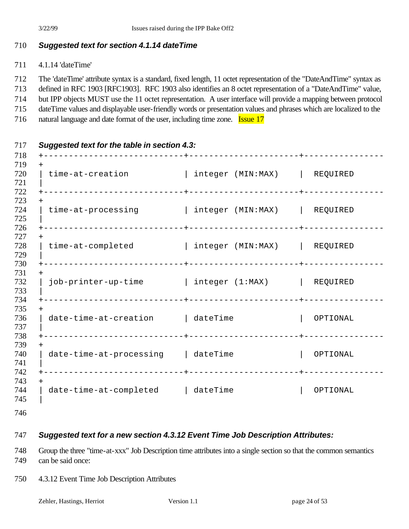#### *Suggested text for section 4.1.14 dateTime*

- 4.1.14 'dateTime'
- The 'dateTime' attribute syntax is a standard, fixed length, 11 octet representation of the "DateAndTime" syntax as
- defined in RFC 1903 [RFC1903]. RFC 1903 also identifies an 8 octet representation of a "DateAndTime" value,
- but IPP objects MUST use the 11 octet representation. A user interface will provide a mapping between protocol
- dateTime values and displayable user-friendly words or presentation values and phrases which are localized to the
- 716 natural language and date format of the user, including time zone. **Issue 17**

| $^{+}$                                                   |                              |          |
|----------------------------------------------------------|------------------------------|----------|
| time-at-creation                                         | integer (MIN:MAX)   REQUIRED |          |
| $+$<br>time-at-processing   integer (MIN:MAX)   REQUIRED |                              |          |
| time-at-completed                                        | integer (MIN:MAX)   REQUIRED |          |
| $+$<br>job-printer-up-time   integer (1:MAX)   REQUIRED  |                              |          |
| $+$<br>date-time-at-creation   dateTime                  |                              | OPTIONAL |
| $+$<br>date-time-at-processing dateTime                  |                              | OPTIONAL |
| date-time-at-completed   dateTime                        |                              | OPTIONAL |

#### *Suggested text for a new section 4.3.12 Event Time Job Description Attributes:*

 Group the three "time-at-xxx" Job Description time attributes into a single section so that the common semantics can be said once:

4.3.12 Event Time Job Description Attributes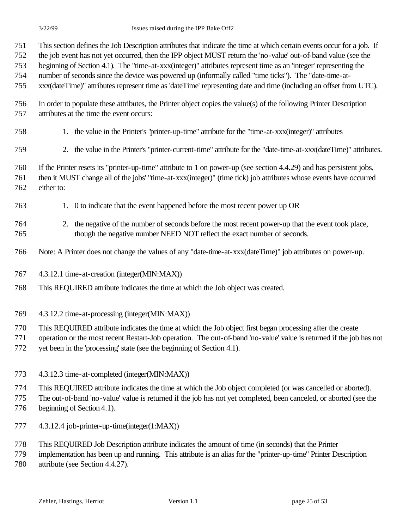This section defines the Job Description attributes that indicate the time at which certain events occur for a job. If

 the job event has not yet occurred, then the IPP object MUST return the 'no-value' out-of-band value (see the beginning of Section 4.1). The "time-at-xxx(integer)" attributes represent time as an 'integer' representing the

number of seconds since the device was powered up (informally called "time ticks"). The "date-time-at-

xxx(dateTime)" attributes represent time as 'dateTime' representing date and time (including an offset from UTC).

- In order to populate these attributes, the Printer object copies the value(s) of the following Printer Description attributes at the time the event occurs:
- 1. the value in the Printer's "printer-up-time" attribute for the "time-at-xxx(integer)" attributes
- 2. the value in the Printer's "printer-current-time" attribute for the "date-time-at-xxx(dateTime)" attributes.

 If the Printer resets its "printer-up-time" attribute to 1 on power-up (see section 4.4.29) and has persistent jobs, then it MUST change all of the jobs' "time-at-xxx(integer)" (time tick) job attributes whose events have occurred either to:

- 1. 0 to indicate that the event happened before the most recent power up OR
- 2. the negative of the number of seconds before the most recent power-up that the event took place, though the negative number NEED NOT reflect the exact number of seconds.
- Note: A Printer does not change the values of any "date-time-at-xxx(dateTime)" job attributes on power-up.
- 4.3.12.1 time-at-creation (integer(MIN:MAX))
- This REQUIRED attribute indicates the time at which the Job object was created.
- 4.3.12.2 time-at-processing (integer(MIN:MAX))
- This REQUIRED attribute indicates the time at which the Job object first began processing after the create
- operation or the most recent Restart-Job operation. The out-of-band 'no-value' value is returned if the job has not
- yet been in the 'processing' state (see the beginning of Section 4.1).
- 4.3.12.3 time-at-completed (integer(MIN:MAX))
- This REQUIRED attribute indicates the time at which the Job object completed (or was cancelled or aborted).
- The out-of-band 'no-value' value is returned if the job has not yet completed, been canceled, or aborted (see the
- beginning of Section 4.1).
- 4.3.12.4 job-printer-up-time(integer(1:MAX))
- This REQUIRED Job Description attribute indicates the amount of time (in seconds) that the Printer
- implementation has been up and running. This attribute is an alias for the "printer-up-time" Printer Description attribute (see Section 4.4.27).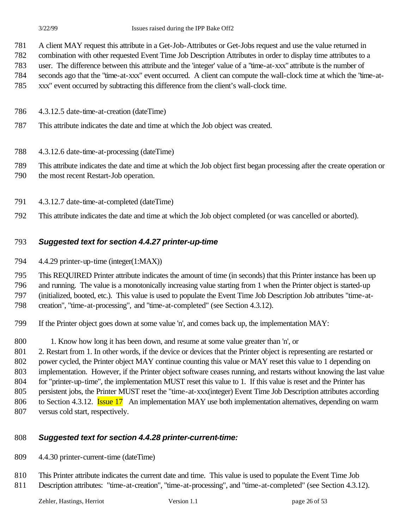A client MAY request this attribute in a Get-Job-Attributes or Get-Jobs request and use the value returned in

combination with other requested Event Time Job Description Attributes in order to display time attributes to a

- user. The difference between this attribute and the 'integer' value of a "time-at-xxx" attribute is the number of
- seconds ago that the "time-at-xxx" event occurred. A client can compute the wall-clock time at which the "time-at-
- xxx" event occurred by subtracting this difference from the client's wall-clock time.
- 4.3.12.5 date-time-at-creation (dateTime)
- This attribute indicates the date and time at which the Job object was created.
- 4.3.12.6 date-time-at-processing (dateTime)

This attribute indicates the date and time at which the Job object first began processing after the create operation or

- the most recent Restart-Job operation.
- 4.3.12.7 date-time-at-completed (dateTime)
- This attribute indicates the date and time at which the Job object completed (or was cancelled or aborted).

## *Suggested text for section 4.4.27 printer-up-time*

4.4.29 printer-up-time (integer(1:MAX))

This REQUIRED Printer attribute indicates the amount of time (in seconds) that this Printer instance has been up

and running. The value is a monotonically increasing value starting from 1 when the Printer object is started-up

(initialized, booted, etc.). This value is used to populate the Event Time Job Description Job attributes "time-at-

creation", "time-at-processing", and "time-at-completed" (see Section 4.3.12).

If the Printer object goes down at some value 'n', and comes back up, the implementation MAY:

1. Know how long it has been down, and resume at some value greater than 'n', or

 2. Restart from 1. In other words, if the device or devices that the Printer object is representing are restarted or 802 power cycled, the Printer object MAY continue counting this value or MAY reset this value to 1 depending on implementation. However, if the Printer object software ceases running, and restarts without knowing the last value for "printer-up-time", the implementation MUST reset this value to 1. If this value is reset and the Printer has persistent jobs, the Printer MUST reset the "time-at-xxx(integer) Event Time Job Description attributes according 806 to Section 4.3.12. **Issue 17** An implementation MAY use both implementation alternatives, depending on warm versus cold start, respectively.

## *Suggested text for section 4.4.28 printer-current-time:*

4.4.30 printer-current-time (dateTime)

 This Printer attribute indicates the current date and time. This value is used to populate the Event Time Job 811 Description attributes: "time-at-creation", "time-at-processing", and "time-at-completed" (see Section 4.3.12).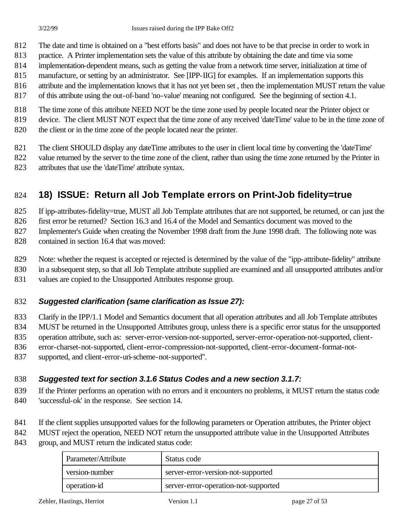- The date and time is obtained on a "best efforts basis" and does not have to be that precise in order to work in
- practice. A Printer implementation sets the value of this attribute by obtaining the date and time via some
- implementation-dependent means, such as getting the value from a network time server, initialization at time of
- manufacture, or setting by an administrator. See [IPP-IIG] for examples. If an implementation supports this
- attribute and the implementation knows that it has not yet been set , then the implementation MUST return the value
- of this attribute using the out-of-band 'no-value' meaning not configured. See the beginning of section 4.1.
- The time zone of this attribute NEED NOT be the time zone used by people located near the Printer object or
- device. The client MUST NOT expect that the time zone of any received 'dateTime' value to be in the time zone of
- the client or in the time zone of the people located near the printer.
- The client SHOULD display any dateTime attributes to the user in client local time by converting the 'dateTime'
- 822 value returned by the server to the time zone of the client, rather than using the time zone returned by the Printer in
- attributes that use the 'dateTime' attribute syntax.

# **18) ISSUE: Return all Job Template errors on Print-Job fidelity=true**

If ipp-attributes-fidelity=true, MUST all Job Template attributes that are not supported, be returned, or can just the

first error be returned? Section 16.3 and 16.4 of the Model and Semantics document was moved to the

 Implementer's Guide when creating the November 1998 draft from the June 1998 draft. The following note was contained in section 16.4 that was moved:

Note: whether the request is accepted or rejected is determined by the value of the "ipp-attribute-fidelity" attribute

in a subsequent step, so that all Job Template attribute supplied are examined and all unsupported attributes and/or

values are copied to the Unsupported Attributes response group.

#### *Suggested clarification (same clarification as Issue 27):*

Clarify in the IPP/1.1 Model and Semantics document that all operation attributes and all Job Template attributes

MUST be returned in the Unsupported Attributes group, unless there is a specific error status for the unsupported

operation attribute, such as: server-error-version-not-supported, server-error-operation-not-supported, client-

error-charset-not-supported, client-error-compression-not-supported, client-error-document-format-not-

supported, and client-error-uri-scheme-not-supported''.

### *Suggested text for section 3.1.6 Status Codes and a new section 3.1.7:*

- If the Printer performs an operation with no errors and it encounters no problems, it MUST return the status code 'successful-ok' in the response. See section 14.
- 841 If the client supplies unsupported values for the following parameters or Operation attributes, the Printer object
- 842 MUST reject the operation, NEED NOT return the unsupported attribute value in the Unsupported Attributes
- group, and MUST return the indicated status code:

| Parameter/Attribute | Status code                          |
|---------------------|--------------------------------------|
| version-number      | server-error-version-not-supported   |
| operation-id        | server-error-operation-not-supported |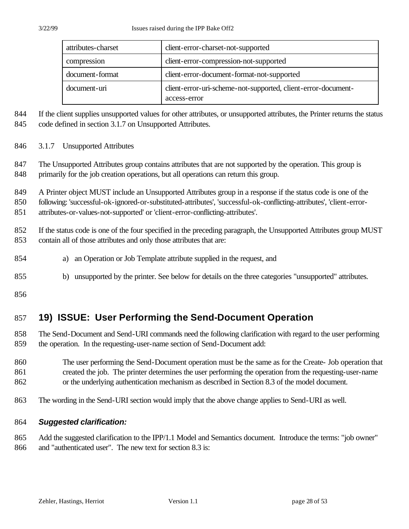| attributes-charset | client-error-charset-not-supported                                            |  |
|--------------------|-------------------------------------------------------------------------------|--|
| compression        | client-error-compression-not-supported                                        |  |
| document-format    | client-error-document-format-not-supported                                    |  |
| document-uri       | client-error-uri-scheme-not-supported, client-error-document-<br>access-error |  |

844 If the client supplies unsupported values for other attributes, or unsupported attributes, the Printer returns the status 845 code defined in section 3.1.7 on Unsupported Attributes.

- 
- 3.1.7 Unsupported Attributes
- 847 The Unsupported Attributes group contains attributes that are not supported by the operation. This group is primarily for the job creation operations, but all operations can return this group.

A Printer object MUST include an Unsupported Attributes group in a response if the status code is one of the

following: 'successful-ok-ignored-or-substituted-attributes', 'successful-ok-conflicting-attributes', 'client-error-

attributes-or-values-not-supported' or 'client-error-conflicting-attributes'.

 If the status code is one of the four specified in the preceding paragraph, the Unsupported Attributes group MUST contain all of those attributes and only those attributes that are:

- a) an Operation or Job Template attribute supplied in the request, and
- b) unsupported by the printer. See below for details on the three categories "unsupported" attributes.

# **19) ISSUE: User Performing the Send-Document Operation**

- The Send-Document and Send-URI commands need the following clarification with regard to the user performing the operation. In the requesting-user-name section of Send-Document add:
- The user performing the Send-Document operation must be the same as for the Create- Job operation that created the job. The printer determines the user performing the operation from the requesting-user-name or the underlying authentication mechanism as described in Section 8.3 of the model document.
- The wording in the Send-URI section would imply that the above change applies to Send-URI as well.

#### *Suggested clarification:*

 Add the suggested clarification to the IPP/1.1 Model and Semantics document. Introduce the terms: "job owner" and "authenticated user". The new text for section 8.3 is: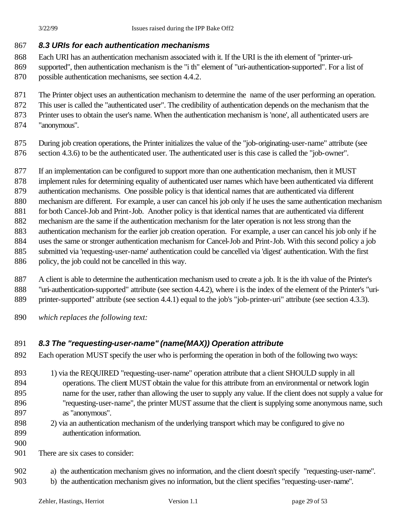#### *8.3 URIs for each authentication mechanisms*

- Each URI has an authentication mechanism associated with it. If the URI is the ith element of "printer-uri- supported", then authentication mechanism is the "i th" element of "uri-authentication-supported". For a list of possible authentication mechanisms, see section 4.4.2.
- The Printer object uses an authentication mechanism to determine the name of the user performing an operation.
- This user is called the "authenticated user". The credibility of authentication depends on the mechanism that the
- Printer uses to obtain the user's name. When the authentication mechanism is 'none', all authenticated users are
- "anonymous".
- During job creation operations, the Printer initializes the value of the "job-originating-user-name" attribute (see
- section 4.3.6) to be the authenticated user. The authenticated user is this case is called the "job-owner".
- If an implementation can be configured to support more than one authentication mechanism, then it MUST
- implement rules for determining equality of authenticated user names which have been authenticated via different
- authentication mechanisms. One possible policy is that identical names that are authenticated via different
- mechanism are different. For example, a user can cancel his job only if he uses the same authentication mechanism
- for both Cancel-Job and Print-Job. Another policy is that identical names that are authenticated via different
- mechanism are the same if the authentication mechanism for the later operation is not less strong than the
- authentication mechanism for the earlier job creation operation. For example, a user can cancel his job only if he
- uses the same or stronger authentication mechanism for Cancel-Job and Print-Job. With this second policy a job submitted via 'requesting-user-name' authentication could be cancelled via 'digest' authentication. With the first
- 886 policy, the job could not be cancelled in this way.
- A client is able to determine the authentication mechanism used to create a job. It is the ith value of the Printer's "uri-authentication-supported" attribute (see section 4.4.2), where i is the index of the element of the Printer's "uri-printer-supported" attribute (see section 4.4.1) equal to the job's "job-printer-uri" attribute (see section 4.3.3).
- *which replaces the following text:*

## *8.3 The "requesting-user-name" (name(MAX)) Operation attribute*

- Each operation MUST specify the user who is performing the operation in both of the following two ways:
- 893 1) via the REQUIRED "requesting-user-name" operation attribute that a client SHOULD supply in all operations. The client MUST obtain the value for this attribute from an environmental or network login name for the user, rather than allowing the user to supply any value. If the client does not supply a value for "requesting-user-name", the printer MUST assume that the client is supplying some anonymous name, such as "anonymous".
- 2) via an authentication mechanism of the underlying transport which may be configured to give no authentication information.
- 

901 There are six cases to consider:

- a) the authentication mechanism gives no information, and the client doesn't specify "requesting-user-name".
- b) the authentication mechanism gives no information, but the client specifies "requesting-user-name".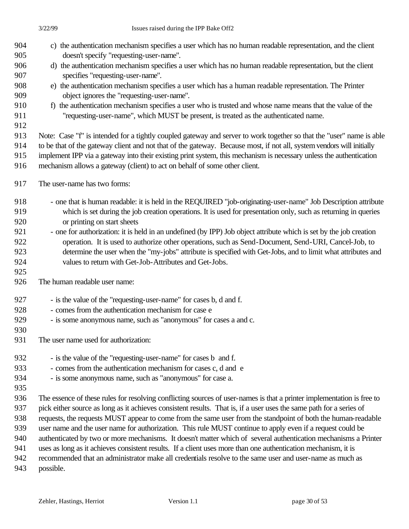- c) the authentication mechanism specifies a user which has no human readable representation, and the client doesn't specify "requesting-user-name".
- d) the authentication mechanism specifies a user which has no human readable representation, but the client specifies "requesting-user-name".
- e) the authentication mechanism specifies a user which has a human readable representation. The Printer object ignores the "requesting-user-name".
- f) the authentication mechanism specifies a user who is trusted and whose name means that the value of the "requesting-user-name", which MUST be present, is treated as the authenticated name.
- 

 Note: Case "f" is intended for a tightly coupled gateway and server to work together so that the "user" name is able to be that of the gateway client and not that of the gateway. Because most, if not all, system vendors will initially implement IPP via a gateway into their existing print system, this mechanism is necessary unless the authentication mechanism allows a gateway (client) to act on behalf of some other client.

- The user-name has two forms:
- 918 one that is human readable: it is held in the REQUIRED "job-originating-user-name" Job Description attribute which is set during the job creation operations. It is used for presentation only, such as returning in queries or printing on start sheets
- one for authorization: it is held in an undefined (by IPP) Job object attribute which is set by the job creation operation. It is used to authorize other operations, such as Send-Document, Send-URI, Cancel-Job, to determine the user when the "my-jobs" attribute is specified with Get-Jobs, and to limit what attributes and values to return with Get-Job-Attributes and Get-Jobs.
- The human readable user name:
- is the value of the "requesting-user-name" for cases b, d and f.
- comes from the authentication mechanism for case e
- 929 is some anonymous name, such as "anonymous" for cases a and c.
- 

The user name used for authorization:

- 932 is the value of the "requesting-user-name" for cases b and f.
- comes from the authentication mechanism for cases c, d and e
- is some anonymous name, such as "anonymous" for case a.
- 

 The essence of these rules for resolving conflicting sources of user-names is that a printer implementation is free to pick either source as long as it achieves consistent results. That is, if a user uses the same path for a series of requests, the requests MUST appear to come from the same user from the standpoint of both the human-readable user name and the user name for authorization. This rule MUST continue to apply even if a request could be authenticated by two or more mechanisms. It doesn't matter which of several authentication mechanisms a Printer uses as long as it achieves consistent results. If a client uses more than one authentication mechanism, it is recommended that an administrator make all credentials resolve to the same user and user-name as much as

possible.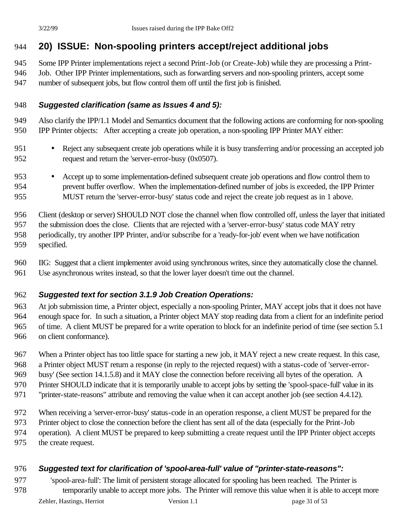# **20) ISSUE: Non-spooling printers accept/reject additional jobs**

Some IPP Printer implementations reject a second Print-Job (or Create-Job) while they are processing a Print-

Job. Other IPP Printer implementations, such as forwarding servers and non-spooling printers, accept some

number of subsequent jobs, but flow control them off until the first job is finished.

#### *Suggested clarification (same as Issues 4 and 5):*

 Also clarify the IPP/1.1 Model and Semantics document that the following actions are conforming for non-spooling IPP Printer objects: After accepting a create job operation, a non-spooling IPP Printer MAY either:

- Reject any subsequent create job operations while it is busy transferring and/or processing an accepted job request and return the 'server-error-busy (0x0507).
- Accept up to some implementation-defined subsequent create job operations and flow control them to prevent buffer overflow. When the implementation-defined number of jobs is exceeded, the IPP Printer MUST return the 'server-error-busy' status code and reject the create job request as in 1 above.

Client (desktop or server) SHOULD NOT close the channel when flow controlled off, unless the layer that initiated

 the submission does the close. Clients that are rejected with a 'server-error-busy' status code MAY retry periodically, try another IPP Printer, and/or subscribe for a 'ready-for-job' event when we have notification

specified.

IIG: Suggest that a client implementer avoid using synchronous writes, since they automatically close the channel.

Use asynchronous writes instead, so that the lower layer doesn't time out the channel.

#### *Suggested text for section 3.1.9 Job Creation Operations:*

 At job submission time, a Printer object, especially a non-spooling Printer, MAY accept jobs that it does not have enough space for. In such a situation, a Printer object MAY stop reading data from a client for an indefinite period of time. A client MUST be prepared for a write operation to block for an indefinite period of time (see section 5.1 on client conformance).

When a Printer object has too little space for starting a new job, it MAY reject a new create request. In this case,

a Printer object MUST return a response (in reply to the rejected request) with a status-code of 'server-error-

busy' (See section 14.1.5.8) and it MAY close the connection before receiving all bytes of the operation. A

970 Printer SHOULD indicate that it is temporarily unable to accept jobs by setting the 'spool-space-full' value in its

"printer-state-reasons" attribute and removing the value when it can accept another job (see section 4.4.12).

When receiving a 'server-error-busy' status-code in an operation response, a client MUST be prepared for the

Printer object to close the connection before the client has sent all of the data (especially for the Print-Job

operation). A client MUST be prepared to keep submitting a create request until the IPP Printer object accepts

the create request.

#### *Suggested text for clarification of 'spool-area-full' value of "printer-state-reasons":*

 'spool-area-full': The limit of persistent storage allocated for spooling has been reached. The Printer is temporarily unable to accept more jobs. The Printer will remove this value when it is able to accept more

Zehler, Hastings, Herriot Version 1.1 page 31 of 53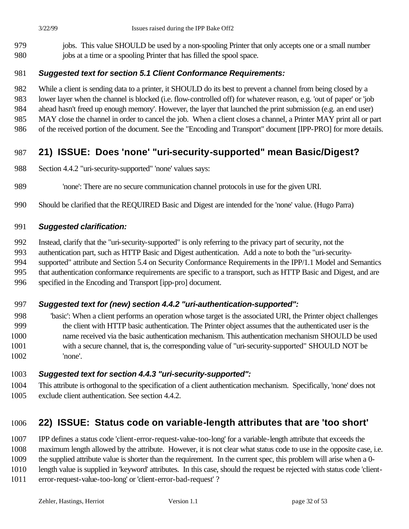jobs. This value SHOULD be used by a non-spooling Printer that only accepts one or a small number jobs at a time or a spooling Printer that has filled the spool space.

#### *Suggested text for section 5.1 Client Conformance Requirements:*

- While a client is sending data to a printer, it SHOULD do its best to prevent a channel from being closed by a
- lower layer when the channel is blocked (i.e. flow-controlled off) for whatever reason, e.g. 'out of paper' or 'job
- ahead hasn't freed up enough memory'. However, the layer that launched the print submission (e.g. an end user)
- MAY close the channel in order to cancel the job. When a client closes a channel, a Printer MAY print all or part
- 986 of the received portion of the document. See the "Encoding and Transport" document [IPP-PRO] for more details.

# **21) ISSUE: Does 'none' "uri-security-supported" mean Basic/Digest?**

- Section 4.4.2 "uri-security-supported" 'none' values says:
- 'none': There are no secure communication channel protocols in use for the given URI.
- Should be clarified that the REQUIRED Basic and Digest are intended for the 'none' value. (Hugo Parra)

#### *Suggested clarification:*

- Instead, clarify that the "uri-security-supported" is only referring to the privacy part of security, not the
- authentication part, such as HTTP Basic and Digest authentication. Add a note to both the "uri-security-
- supported" attribute and Section 5.4 on Security Conformance Requirements in the IPP/1.1 Model and Semantics
- that authentication conformance requirements are specific to a transport, such as HTTP Basic and Digest, and are
- specified in the Encoding and Transport [ipp-pro] document.

#### *Suggested text for (new) section 4.4.2 "uri-authentication-supported":*

 'basic': When a client performs an operation whose target is the associated URI, the Printer object challenges the client with HTTP basic authentication. The Printer object assumes that the authenticated user is the name received via the basic authentication mechanism. This authentication mechanism SHOULD be used with a secure channel, that is, the corresponding value of "uri-security-supported" SHOULD NOT be 'none'.

#### *Suggested text for section 4.4.3 "uri-security-supported":*

 This attribute is orthogonal to the specification of a client authentication mechanism. Specifically, 'none' does not exclude client authentication. See section 4.4.2.

## **22) ISSUE: Status code on variable-length attributes that are 'too short'**

- IPP defines a status code 'client-error-request-value-too-long' for a variable-length attribute that exceeds the
- maximum length allowed by the attribute. However, it is not clear what status code to use in the opposite case, i.e.
- the supplied attribute value is shorter than the requirement. In the current spec, this problem will arise when a 0-
- length value is supplied in 'keyword' attributes. In this case, should the request be rejected with status code 'client-
- error-request-value-too-long' or 'client-error-bad-request' ?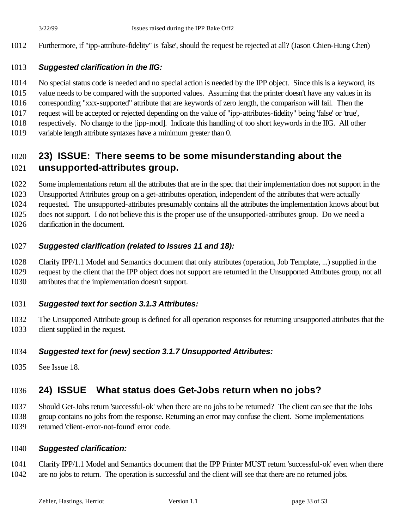Furthermore, if "ipp-attribute-fidelity" is 'false', should the request be rejected at all? (Jason Chien-Hung Chen)

#### *Suggested clarification in the IIG:*

- No special status code is needed and no special action is needed by the IPP object. Since this is a keyword, its
- value needs to be compared with the supported values. Assuming that the printer doesn't have any values in its
- corresponding "xxx-supported" attribute that are keywords of zero length, the comparison will fail. Then the
- request will be accepted or rejected depending on the value of "ipp-attributes-fidelity" being 'false' or 'true',
- respectively. No change to the [ipp-mod]. Indicate this handling of too short keywords in the IIG. All other
- variable length attribute syntaxes have a minimum greater than 0.

# **23) ISSUE: There seems to be some misunderstanding about the unsupported-attributes group.**

- Some implementations return all the attributes that are in the spec that their implementation does not support in the
- Unsupported Attributes group on a get-attributes operation, independent of the attributes that were actually
- requested. The unsupported-attributes presumably contains all the attributes the implementation knows about but
- does not support. I do not believe this is the proper use of the unsupported-attributes group. Do we need a
- clarification in the document.

### *Suggested clarification (related to Issues 11 and 18):*

- Clarify IPP/1.1 Model and Semantics document that only attributes (operation, Job Template, ...) supplied in the
- request by the client that the IPP object does not support are returned in the Unsupported Attributes group, not all attributes that the implementation doesn't support.

### *Suggested text for section 3.1.3 Attributes:*

 The Unsupported Attribute group is defined for all operation responses for returning unsupported attributes that the client supplied in the request.

#### *Suggested text for (new) section 3.1.7 Unsupported Attributes:*

See Issue 18.

# **24) ISSUE What status does Get-Jobs return when no jobs?**

 Should Get-Jobs return 'successful-ok' when there are no jobs to be returned? The client can see that the Jobs group contains no jobs from the response. Returning an error may confuse the client. Some implementations

returned 'client-error-not-found' error code.

#### *Suggested clarification:*

 Clarify IPP/1.1 Model and Semantics document that the IPP Printer MUST return 'successful-ok' even when there are no jobs to return. The operation is successful and the client will see that there are no returned jobs.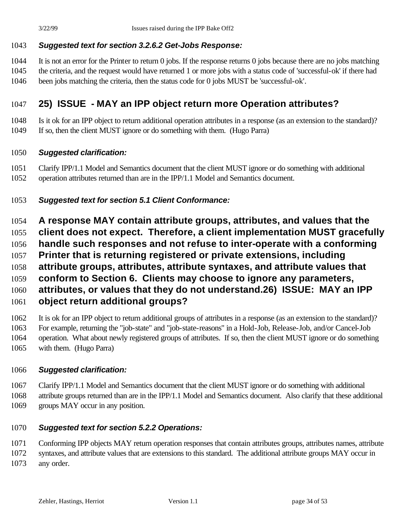### *Suggested text for section 3.2.6.2 Get-Jobs Response:*

 It is not an error for the Printer to return 0 jobs. If the response returns 0 jobs because there are no jobs matching the criteria, and the request would have returned 1 or more jobs with a status code of 'successful-ok' if there had been jobs matching the criteria, then the status code for 0 jobs MUST be 'successful-ok'.

# **25) ISSUE - MAY an IPP object return more Operation attributes?**

 Is it ok for an IPP object to return additional operation attributes in a response (as an extension to the standard)? If so, then the client MUST ignore or do something with them. (Hugo Parra)

### *Suggested clarification:*

 Clarify IPP/1.1 Model and Semantics document that the client MUST ignore or do something with additional operation attributes returned than are in the IPP/1.1 Model and Semantics document.

## *Suggested text for section 5.1 Client Conformance:*

- **A response MAY contain attribute groups, attributes, and values that the**
- **client does not expect. Therefore, a client implementation MUST gracefully**
- **handle such responses and not refuse to inter-operate with a conforming**
- **Printer that is returning registered or private extensions, including**
- **attribute groups, attributes, attribute syntaxes, and attribute values that**
- **conform to Section 6. Clients may choose to ignore any parameters,**
- **attributes, or values that they do not understand.26) ISSUE: MAY an IPP**
- **object return additional groups?**

 It is ok for an IPP object to return additional groups of attributes in a response (as an extension to the standard)? For example, returning the "job-state" and "job-state-reasons" in a Hold-Job, Release-Job, and/or Cancel-Job operation. What about newly registered groups of attributes. If so, then the client MUST ignore or do something with them. (Hugo Parra)

### *Suggested clarification:*

 Clarify IPP/1.1 Model and Semantics document that the client MUST ignore or do something with additional attribute groups returned than are in the IPP/1.1 Model and Semantics document. Also clarify that these additional groups MAY occur in any position.

## *Suggested text for section 5.2.2 Operations:*

 Conforming IPP objects MAY return operation responses that contain attributes groups, attributes names, attribute syntaxes, and attribute values that are extensions to this standard. The additional attribute groups MAY occur in any order.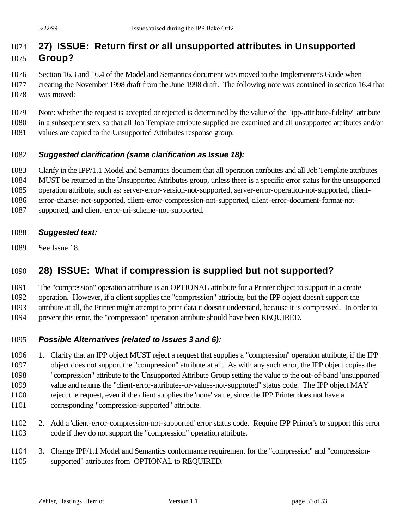# **27) ISSUE: Return first or all unsupported attributes in Unsupported Group?**

- Section 16.3 and 16.4 of the Model and Semantics document was moved to the Implementer's Guide when creating the November 1998 draft from the June 1998 draft. The following note was contained in section 16.4 that was moved:
- Note: whether the request is accepted or rejected is determined by the value of the "ipp-attribute-fidelity" attribute in a subsequent step, so that all Job Template attribute supplied are examined and all unsupported attributes and/or values are copied to the Unsupported Attributes response group.

### *Suggested clarification (same clarification as Issue 18):*

Clarify in the IPP/1.1 Model and Semantics document that all operation attributes and all Job Template attributes

MUST be returned in the Unsupported Attributes group, unless there is a specific error status for the unsupported

- operation attribute, such as: server-error-version-not-supported, server-error-operation-not-supported, client-
- error-charset-not-supported, client-error-compression-not-supported, client-error-document-format-not-
- supported, and client-error-uri-scheme-not-supported.
- *Suggested text:*
- See Issue 18.

# **28) ISSUE: What if compression is supplied but not supported?**

The "compression" operation attribute is an OPTIONAL attribute for a Printer object to support in a create

operation. However, if a client supplies the "compression" attribute, but the IPP object doesn't support the

attribute at all, the Printer might attempt to print data it doesn't understand, because it is compressed. In order to

prevent this error, the "compression" operation attribute should have been REQUIRED.

## *Possible Alternatives (related to Issues 3 and 6):*

- 1. Clarify that an IPP object MUST reject a request that supplies a "compression" operation attribute, if the IPP object does not support the "compression" attribute at all. As with any such error, the IPP object copies the "compression" attribute to the Unsupported Attribute Group setting the value to the out-of-band 'unsupported' value and returns the "client-error-attributes-or-values-not-supported" status code. The IPP object MAY
- reject the request, even if the client supplies the 'none' value, since the IPP Printer does not have a
- corresponding "compression-supported" attribute.
- 2. Add a 'client-error-compression-not-supported' error status code. Require IPP Printer's to support this error code if they do not support the "compression" operation attribute.
- 3. Change IPP/1.1 Model and Semantics conformance requirement for the "compression" and "compression-supported" attributes from OPTIONAL to REQUIRED.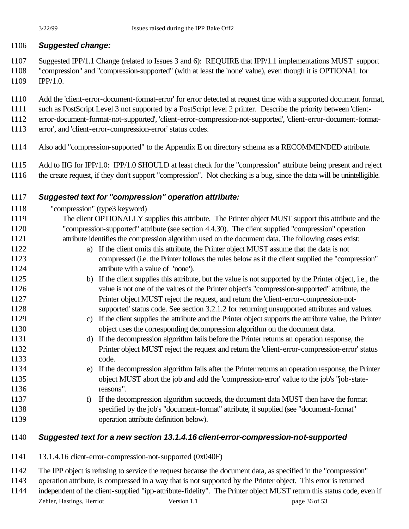### *Suggested change:*

- Suggested IPP/1.1 Change (related to Issues 3 and 6): REQUIRE that IPP/1.1 implementations MUST support
- "compression" and "compression-supported" (with at least the 'none' value), even though it is OPTIONAL for IPP/1.0.
- Add the 'client-error-document-format-error' for error detected at request time with a supported document format,
- such as PostScript Level 3 not supported by a PostScript level 2 printer. Describe the priority between 'client-
- error-document-format-not-supported', 'client-error-compression-not-supported', 'client-error-document-format-
- error', and 'client-error-compression-error' status codes.
- Also add "compression-supported" to the Appendix E on directory schema as a RECOMMENDED attribute.
- Add to IIG for IPP/1.0: IPP/1.0 SHOULD at least check for the "compression" attribute being present and reject
- the create request, if they don't support "compression". Not checking is a bug, since the data will be unintelligible.

### *Suggested text for "compression" operation attribute:*

- "compression" (type3 keyword)
- The client OPTIONALLY supplies this attribute. The Printer object MUST support this attribute and the "compression-supported" attribute (see section 4.4.30). The client supplied "compression" operation attribute identifies the compression algorithm used on the document data. The following cases exist:
- a) If the client omits this attribute, the Printer object MUST assume that the data is not compressed (i.e. the Printer follows the rules below as if the client supplied the "compression" **attribute with a value of 'none').**
- 1125 b) If the client supplies this attribute, but the value is not supported by the Printer object, i.e., the value is not one of the values of the Printer object's "compression-supported" attribute, the Printer object MUST reject the request, and return the 'client-error-compression-not-supported' status code. See section 3.2.1.2 for returning unsupported attributes and values.
- c) If the client supplies the attribute and the Printer object supports the attribute value, the Printer object uses the corresponding decompression algorithm on the document data.
- d) If the decompression algorithm fails before the Printer returns an operation response, the Printer object MUST reject the request and return the 'client-error-compression-error' status code.
- e) If the decompression algorithm fails after the Printer returns an operation response, the Printer object MUST abort the job and add the 'compression-error' value to the job's "job-state-reasons".
- 1137 f) If the decompression algorithm succeeds, the document data MUST then have the format specified by the job's "document-format" attribute, if supplied (see "document-format" operation attribute definition below).

## *Suggested text for a new section 13.1.4.16 client-error-compression-not-supported*

- 13.1.4.16 client-error-compression-not-supported (0x040F)
- The IPP object is refusing to service the request because the document data, as specified in the "compression"
- operation attribute, is compressed in a way that is not supported by the Printer object. This error is returned
- Zehler, Hastings, Herriot Version 1.1 page 36 of 53 independent of the client-supplied "ipp-attribute-fidelity". The Printer object MUST return this status code, even if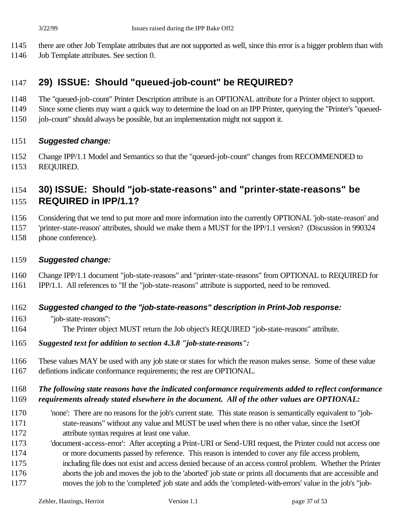- there are other Job Template attributes that are not supported as well, since this error is a bigger problem than with
- Job Template attributes. See section 0.

# **29) ISSUE: Should "queued-job-count" be REQUIRED?**

- The "queued-job-count" Printer Description attribute is an OPTIONAL attribute for a Printer object to support.
- Since some clients may want a quick way to determine the load on an IPP Printer, querying the "Printer's "queued-
- job-count" should always be possible, but an implementation might not support it.

#### *Suggested change:*

 Change IPP/1.1 Model and Semantics so that the "queued-job-count" changes from RECOMMENDED to REQUIRED.

## **30) ISSUE: Should "job-state-reasons" and "printer-state-reasons" be REQUIRED in IPP/1.1?**

Considering that we tend to put more and more information into the currently OPTIONAL 'job-state-reason' and

'printer-state-reason' attributes, should we make them a MUST for the IPP/1.1 version? (Discussion in 990324

phone conference).

#### *Suggested change:*

Change IPP/1.1 document "job-state-reasons" and "printer-state-reasons" from OPTIONAL to REQUIRED for

IPP/1.1. All references to "If the "job-state-reasons" attribute is supported, need to be removed.

#### *Suggested changed to the "job-state-reasons" description in Print-Job response:*

- "job-state-reasons":
- The Printer object MUST return the Job object's REQUIRED "job-state-reasons" attribute.
- *Suggested text for addition to section 4.3.8 "job-state-reasons":*
- These values MAY be used with any job state or states for which the reason makes sense. Some of these value defintions indicate conformance requirements; the rest are OPTIONAL.

#### *The following state reasons have the indicated conformance requirements added to reflect conformance requirements already stated elsewhere in the document. All of the other values are OPTIONAL:*

- 'none': There are no reasons for the job's current state. This state reason is semantically equivalent to "job- state-reasons" without any value and MUST be used when there is no other value, since the 1setOf attribute syntax requires at least one value.
- 'document-access-error': After accepting a Print-URI or Send-URI request, the Printer could not access one or more documents passed by reference. This reason is intended to cover any file access problem, including file does not exist and access denied because of an access control problem. Whether the Printer
- aborts the job and moves the job to the 'aborted' job state or prints all documents that are accessible and
- moves the job to the 'completed' job state and adds the 'completed-with-errors' value in the job's "job-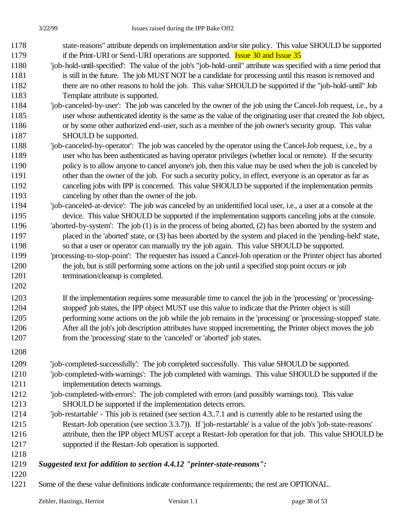- state-reasons" attribute depends on implementation and/or site policy. This value SHOULD be supported 1179 if the Print-URI or Send-URI operations are supported. **Issue 30 and Issue 35**
- 'job-hold-until-specified': The value of the job's "job-hold-until" attribute was specified with a time period that is still in the future. The job MUST NOT be a candidate for processing until this reason is removed and there are no other reasons to hold the job. This value SHOULD be supported if the "job-hold-until" Job Template attribute is supported.
- 'job-canceled-by-user': The job was canceled by the owner of the job using the Cancel-Job request, i.e., by a user whose authenticated identity is the same as the value of the originating user that created the Job object, or by some other authorized end-user, such as a member of the job owner's security group. This value 1187 SHOULD be supported.
- 'job-canceled-by-operator': The job was canceled by the operator using the Cancel-Job request, i.e., by a user who has been authenticated as having operator privileges (whether local or remote). If the security policy is to allow anyone to cancel anyone's job, then this value may be used when the job is canceled by other than the owner of the job. For such a security policy, in effect, everyone is an operator as far as canceling jobs with IPP is concerned. This value SHOULD be supported if the implementation permits canceling by other than the owner of the job.
- 'job-canceled-at-device': The job was canceled by an unidentified local user, i.e., a user at a console at the device. This value SHOULD be supported if the implementation supports canceling jobs at the console. 'aborted-by-system': The job (1) is in the process of being aborted, (2) has been aborted by the system and
- placed in the 'aborted' state, or (3) has been aborted by the system and placed in the 'pending-held' state, so that a user or operator can manually try the job again. This value SHOULD be supported. 'processing-to-stop-point': The requester has issued a Cancel-Job operation or the Printer object has aborted
- the job, but is still performing some actions on the job until a specified stop point occurs or job termination/cleanup is completed.
- If the implementation requires some measurable time to cancel the job in the 'processing' or 'processing- stopped' job states, the IPP object MUST use this value to indicate that the Printer object is still performing some actions on the job while the job remains in the 'processing' or 'processing-stopped' state. After all the job's job description attributes have stopped incrementing, the Printer object moves the job from the 'processing' state to the 'canceled' or 'aborted' job states.
- 
- 'job-completed-successfully': The job completed successfully. This value SHOULD be supported.
- 'job-completed-with-warnings': The job completed with warnings. This value SHOULD be supported if the implementation detects warnings.
- 'job-completed-with-errors': The job completed with errors (and possibly warnings too). This value SHOULD be supported if the implementation detects errors.
- 'job-restartable' This job is retained (see section 4.3..7.1 and is currently able to be restarted using the Restart-Job operation (see section 3.3.7)). If 'job-restartable' is a value of the job's 'job-state-reasons' attribute, then the IPP object MUST accept a Restart-Job operation for that job. This value SHOULD be supported if the Restart-Job operation is supported.
- 

#### *Suggested text for addition to section 4.4.12 "printer-state-reasons":*

- 
- Some of the these value definitions indicate conformance requirements; the rest are OPTIONAL.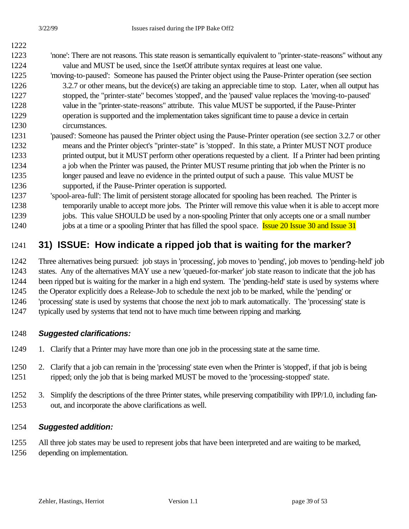## 'none': There are not reasons. This state reason is semantically equivalent to "printer-state-reasons" without any 1224 value and MUST be used, since the 1setOf attribute syntax requires at least one value. 'moving-to-paused': Someone has paused the Printer object using the Pause-Printer operation (see section 1226 3.2.7 or other means, but the device(s) are taking an appreciable time to stop. Later, when all output has stopped, the "printer-state" becomes 'stopped', and the 'paused' value replaces the 'moving-to-paused' value in the "printer-state-reasons" attribute. This value MUST be supported, if the Pause-Printer operation is supported and the implementation takes significant time to pause a device in certain circumstances. 'paused': Someone has paused the Printer object using the Pause-Printer operation (see section 3.2.7 or other

- means and the Printer object's "printer-state" is 'stopped'. In this state, a Printer MUST NOT produce printed output, but it MUST perform other operations requested by a client. If a Printer had been printing a job when the Printer was paused, the Printer MUST resume printing that job when the Printer is no longer paused and leave no evidence in the printed output of such a pause. This value MUST be supported, if the Pause-Printer operation is supported.
- 'spool-area-full': The limit of persistent storage allocated for spooling has been reached. The Printer is temporarily unable to accept more jobs. The Printer will remove this value when it is able to accept more 1239 jobs. This value SHOULD be used by a non-spooling Printer that only accepts one or a small number
- 1240 jobs at a time or a spooling Printer that has filled the spool space. Issue 20 Issue 30 and Issue 31

# **31) ISSUE: How indicate a ripped job that is waiting for the marker?**

- Three alternatives being pursued: job stays in 'processing', job moves to 'pending', job moves to 'pending-held' job states. Any of the alternatives MAY use a new 'queued-for-marker' job state reason to indicate that the job has been ripped but is waiting for the marker in a high end system. The 'pending-held' state is used by systems where
- the Operator explicitly does a Release-Job to schedule the next job to be marked, while the 'pending' or
- 'processing' state is used by systems that choose the next job to mark automatically. The 'processing' state is
- typically used by systems that tend not to have much time between ripping and marking.

## *Suggested clarifications:*

- 1249 1. Clarify that a Printer may have more than one job in the processing state at the same time.
- 2. Clarify that a job can remain in the 'processing' state even when the Printer is 'stopped', if that job is being ripped; only the job that is being marked MUST be moved to the 'processing-stopped' state.
- 3. Simplify the descriptions of the three Printer states, while preserving compatibility with IPP/1.0, including fan-out, and incorporate the above clarifications as well.

## *Suggested addition:*

 All three job states may be used to represent jobs that have been interpreted and are waiting to be marked, depending on implementation.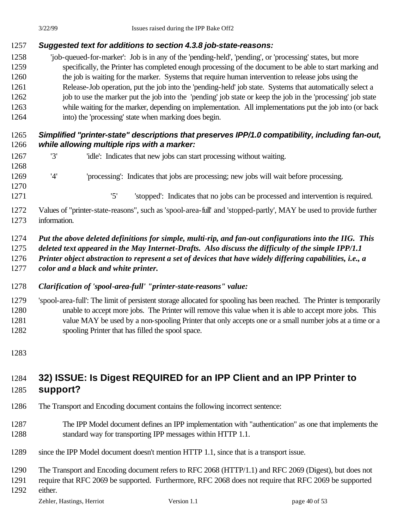### *Suggested text for additions to section 4.3.8 job-state-reasons:*

 'job-queued-for-marker': Job is in any of the 'pending-held', 'pending', or 'processing' states, but more specifically, the Printer has completed enough processing of the document to be able to start marking and the job is waiting for the marker. Systems that require human intervention to release jobs using the Release-Job operation, put the job into the 'pending-held' job state. Systems that automatically select a 1262 job to use the marker put the job into the 'pending' job state or keep the job in the 'processing' job state while waiting for the marker, depending on implementation. All implementations put the job into (or back into) the 'processing' state when marking does begin.

### *Simplified "printer-state" descriptions that preserves IPP/1.0 compatibility, including fan-out, while allowing multiple rips with a marker:*

- '3' 'idle': Indicates that new jobs can start processing without waiting. '4' 'processing': Indicates that jobs are processing; new jobs will wait before processing.
- '5' 'stopped': Indicates that no jobs can be processed and intervention is required.
- Values of "printer-state-reasons", such as 'spool-area-full' and 'stopped-partly', MAY be used to provide further information.
- *Put the above deleted definitions for simple, multi-rip, and fan-out configurations into the IIG. This*
- *deleted text appeared in the May Internet-Drafts. Also discuss the difficulty of the simple IPP/1.1*
- *Printer object abstraction to represent a set of devices that have widely differing capabilities, i.e., a*
- *color and a black and white printer.*
- *Clarification of 'spool-area-full' "printer-state-reasons" value:*
- 'spool-area-full': The limit of persistent storage allocated for spooling has been reached. The Printer is temporarily unable to accept more jobs. The Printer will remove this value when it is able to accept more jobs. This value MAY be used by a non-spooling Printer that only accepts one or a small number jobs at a time or a spooling Printer that has filled the spool space.
- 

## **32) ISSUE: Is Digest REQUIRED for an IPP Client and an IPP Printer to support?**

- The Transport and Encoding document contains the following incorrect sentence:
- The IPP Model document defines an IPP implementation with "authentication" as one that implements the standard way for transporting IPP messages within HTTP 1.1.
- since the IPP Model document doesn't mention HTTP 1.1, since that is a transport issue.

The Transport and Encoding document refers to RFC 2068 (HTTP/1.1) and RFC 2069 (Digest), but does not

require that RFC 2069 be supported. Furthermore, RFC 2068 does not require that RFC 2069 be supported

either.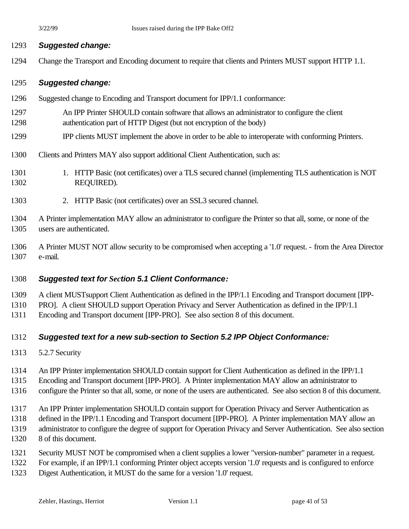#### *Suggested change:*

Change the Transport and Encoding document to require that clients and Printers MUST support HTTP 1.1.

#### *Suggested change:*

- Suggested change to Encoding and Transport document for IPP/1.1 conformance:
- An IPP Printer SHOULD contain software that allows an administrator to configure the client authentication part of HTTP Digest (but not encryption of the body)
- IPP clients MUST implement the above in order to be able to interoperate with conforming Printers.
- Clients and Printers MAY also support additional Client Authentication, such as:
- 1301 1. HTTP Basic (not certificates) over a TLS secured channel (implementing TLS authentication is NOT REQUIRED).
- 2. HTTP Basic (not certificates) over an SSL3 secured channel.
- A Printer implementation MAY allow an administrator to configure the Printer so that all, some, or none of the users are authenticated.
- A Printer MUST NOT allow security to be compromised when accepting a '1.0' request. from the Area Director e-mail.

#### *Suggested text for Section 5.1 Client Conformance:*

- A client MUSTsupport Client Authentication as defined in the IPP/1.1 Encoding and Transport document [IPP-
- PRO]. A client SHOULD support Operation Privacy and Server Authentication as defined in the IPP/1.1
- Encoding and Transport document [IPP-PRO]. See also section 8 of this document.

#### *Suggested text for a new sub-section to Section 5.2 IPP Object Conformance:*

- 5.2.7 Security
- An IPP Printer implementation SHOULD contain support for Client Authentication as defined in the IPP/1.1
- Encoding and Transport document [IPP-PRO]. A Printer implementation MAY allow an administrator to
- configure the Printer so that all, some, or none of the users are authenticated. See also section 8 of this document.
- An IPP Printer implementation SHOULD contain support for Operation Privacy and Server Authentication as
- defined in the IPP/1.1 Encoding and Transport document [IPP-PRO]. A Printer implementation MAY allow an
- administrator to configure the degree of support for Operation Privacy and Server Authentication. See also section
- 8 of this document.
- Security MUST NOT be compromised when a client supplies a lower "version-number" parameter in a request.
- For example, if an IPP/1.1 conforming Printer object accepts version '1.0' requests and is configured to enforce
- Digest Authentication, it MUST do the same for a version '1.0' request.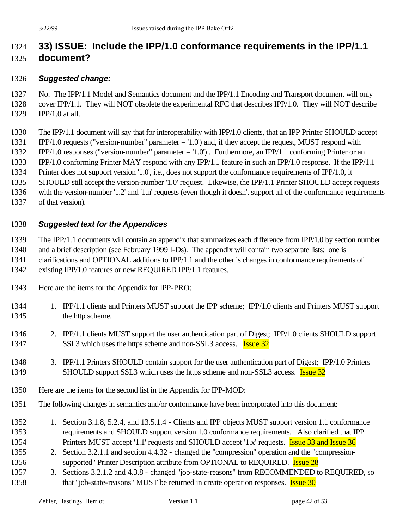# **33) ISSUE: Include the IPP/1.0 conformance requirements in the IPP/1.1 document?**

#### *Suggested change:*

- No. The IPP/1.1 Model and Semantics document and the IPP/1.1 Encoding and Transport document will only cover IPP/1.1. They will NOT obsolete the experimental RFC that describes IPP/1.0. They will NOT describe IPP/1.0 at all.
- The IPP/1.1 document will say that for interoperability with IPP/1.0 clients, that an IPP Printer SHOULD accept
- IPP/1.0 requests ("version-number" parameter = '1.0') and, if they accept the request, MUST respond with
- IPP/1.0 responses ("version-number" parameter = '1.0') . Furthermore, an IPP/1.1 conforming Printer or an
- IPP/1.0 conforming Printer MAY respond with any IPP/1.1 feature in such an IPP/1.0 response. If the IPP/1.1
- Printer does not support version '1.0', i.e., does not support the conformance requirements of IPP/1.0, it
- SHOULD still accept the version-number '1.0' request. Likewise, the IPP/1.1 Printer SHOULD accept requests
- with the version-number '1.2' and '1.n' requests (even though it doesn't support all of the conformance requirements
- of that version).

### *Suggested text for the Appendices*

The IPP/1.1 documents will contain an appendix that summarizes each difference from IPP/1.0 by section number

- and a brief description (see February 1999 I-Ds). The appendix will contain two separate lists: one is clarifications and OPTIONAL additions to IPP/1.1 and the other is changes in conformance requirements of
- existing IPP/1.0 features or new REQUIRED IPP/1.1 features.
- Here are the items for the Appendix for IPP-PRO:
- 1344 1. IPP/1.1 clients and Printers MUST support the IPP scheme; IPP/1.0 clients and Printers MUST support 1345 the http scheme.
- 2. IPP/1.1 clients MUST support the user authentication part of Digest; IPP/1.0 clients SHOULD support 1347 SSL3 which uses the https scheme and non-SSL3 access. **Issue 32**
- 3. IPP/1.1 Printers SHOULD contain support for the user authentication part of Digest; IPP/1.0 Printers 1349 SHOULD support SSL3 which uses the https scheme and non-SSL3 access. **Issue 32**
- Here are the items for the second list in the Appendix for IPP-MOD:
- The following changes in semantics and/or conformance have been incorporated into this document:
- 1352 1. Section 3.1.8, 5.2.4, and 13.5.1.4 Clients and IPP objects MUST support version 1.1 conformance requirements and SHOULD support version 1.0 conformance requirements. Also clarified that IPP 1354 Printers MUST accept '1.1' requests and SHOULD accept '1.x' requests. **Issue 33 and Issue 36**
- 2. Section 3.2.1.1 and section 4.4.32 changed the "compression" operation and the "compression-1356 supported" Printer Description attribute from OPTIONAL to REQUIRED. **Issue 28**
- 1357 3. Sections 3.2.1.2 and 4.3.8 changed "job-state-reasons" from RECOMMENDED to REQUIRED, so 1358 that "job-state-reasons" MUST be returned in create operation responses. **Issue 30**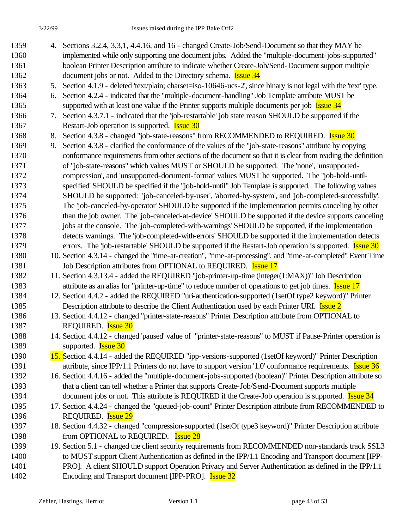- 1359 4. Sections 3.2.4, 3,3,1, 4.4.16, and 16 changed Create-Job/Send-Document so that they MAY be 1360 implemented while only supporting one document jobs. Added the "multiple-document-jobs-supported" 1361 boolean Printer Description attribute to indicate whether Create-Job/Send-Document support multiple 1362 document jobs or not. Added to the Directory schema. **Issue 34**
- 1363 5. Section 4.1.9 deleted 'text/plain; charset=iso-10646-ucs-2', since binary is not legal with the 'text' type.

1364 6. Section 4.2.4 - indicated that the "multiple-document-handling" Job Template attribute MUST be 1365 supported with at least one value if the Printer supports multiple documents per job Issue 34

- 1366 7. Section 4.3.7.1 indicated that the 'job-restartable' job state reason SHOULD be supported if the 1367 Restart-Job operation is supported. **Issue 30**
- 1368 8. Section 4.3.8 changed "job-state-reasons" from RECOMMENDED to REQUIRED. Issue 30
- 1369 9. Section 4.3.8 clarified the conformance of the values of the "job-state-reasons" attribute by copying 1370 conformance requirements from other sections of the document so that it is clear from reading the definition 1371 of "job-state-reasons" which values MUST or SHOULD be supported. The 'none', 'unsupported-1372 compression', and 'unsupported-document-format' values MUST be supported. The ''job-hold-until-1373 specified' SHOULD be specified if the "job-hold-until" Job Template is supported. The following values 1374 SHOULD be supported: 'job-canceled-by-user', 'aborted-by-system', and 'job-completed-successfully'. 1375 The 'job-canceled-by-operator' SHOULD be supported if the implementation permits canceling by other 1376 than the job owner. The 'job-canceled-at-device' SHOULD be supported if the device supports canceling 1377 jobs at the console. The 'job-completed-with-warnings' SHOULD be supported, if the implementation 1378 detects warnings. The 'job-completed-with-errors' SHOULD be supported if the implementation detects 1379 errors. The 'job-restartable' SHOULD be supported if the Restart-Job operation is supported. **Issue 30**
- 1380 10. Section 4.3.14 changed the "time-at-creation", "time-at-processing", and "time-at-completed" Event Time 1381 Job Description attributes from OPTIONAL to REQUIRED. **Issue 17**
- 1382 11. Section 4.3.13.4 added the REQUIRED "job-printer-up-time (integer(1:MAX))" Job Description 1383 attribute as an alias for "printer-up-time" to reduce number of operations to get job times. **Issue 17**
- 1384 12. Section 4.4.2 added the REQUIRED "uri-authentication-supported (1setOf type2 keyword)" Printer 1385 Description attribute to describe the Client Authentication used by each Printer URI. Issue 2
- 1386 13. Section 4.4.12 changed "printer-state-reasons" Printer Description attribute from OPTIONAL to 1387 REQUIRED. **Issue 30**
- 1388 14. Section 4.4.12 changed 'paused' value of "printer-state-reasons" to MUST if Pause-Printer operation is 1389 supported. **Issue 30**
- 1390 15. Section 4.4.14 added the REQUIRED "ipp-versions-supported (1setOf keyword)" Printer Description 1391 attribute, since IPP/1.1 Printers do not have to support version '1.0' conformance requirements. Issue 36
- 1392 16. Section 4.4.16 added the "multiple-document-jobs-supported (boolean)" Printer Description attribute so 1393 that a client can tell whether a Printer that supports Create-Job/Send-Document supports multiple 1394 document jobs or not. This attribute is REQUIRED if the Create-Job operation is supported. Issue 34
- 1395 17. Section 4.4.24 changed the "queued-job-count" Printer Description attribute from RECOMMENDED to 1396 REQUIRED. Issue 29
- 1397 18. Section 4.4.32 changed "compression-supported (1setOf type3 keyword)" Printer Description attribute 1398 from OPTIONAL to REQUIRED. **Issue 28**
- 1399 19. Section 5.1 changed the client security requirements from RECOMMENDED non-standards track SSL3 1400 to MUST support Client Authentication as defined in the IPP/1.1 Encoding and Transport document [IPP-1401 PRO]. A client SHOULD support Operation Privacy and Server Authentication as defined in the IPP/1.1 1402 Encoding and Transport document [IPP-PRO]. **Issue 32**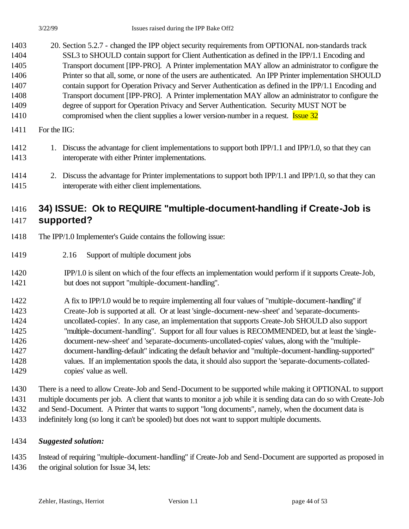- 20. Section 5.2.7 changed the IPP object security requirements from OPTIONAL non-standards track SSL3 to SHOULD contain support for Client Authentication as defined in the IPP/1.1 Encoding and Transport document [IPP-PRO]. A Printer implementation MAY allow an administrator to configure the Printer so that all, some, or none of the users are authenticated. An IPP Printer implementation SHOULD contain support for Operation Privacy and Server Authentication as defined in the IPP/1.1 Encoding and Transport document [IPP-PRO]. A Printer implementation MAY allow an administrator to configure the degree of support for Operation Privacy and Server Authentication. Security MUST NOT be 1410 compromised when the client supplies a lower version-number in a request. Issue 32
- For the IIG:
- 1412 1. Discuss the advantage for client implementations to support both IPP/1.1 and IPP/1.0, so that they can interoperate with either Printer implementations.
- 2. Discuss the advantage for Printer implementations to support both IPP/1.1 and IPP/1.0, so that they can interoperate with either client implementations.

## **34) ISSUE: Ok to REQUIRE "multiple-document-handling if Create-Job is supported?**

- The IPP/1.0 Implementer's Guide contains the following issue:
- 2.16 Support of multiple document jobs
- IPP/1.0 is silent on which of the four effects an implementation would perform if it supports Create-Job, but does not support "multiple-document-handling".
- A fix to IPP/1.0 would be to require implementing all four values of "multiple-document-handling" if Create-Job is supported at all. Or at least 'single-document-new-sheet' and 'separate-documents- uncollated-copies'. In any case, an implementation that supports Create-Job SHOULD also support "multiple-document-handling". Support for all four values is RECOMMENDED, but at least the 'single- document-new-sheet' and 'separate-documents-uncollated-copies' values, along with the "multiple- document-handling-default" indicating the default behavior and "multiple-document-handling-supported" values. If an implementation spools the data, it should also support the 'separate-documents-collated-copies' value as well.
- There is a need to allow Create-Job and Send-Document to be supported while making it OPTIONAL to support multiple documents per job. A client that wants to monitor a job while it is sending data can do so with Create-Job and Send-Document. A Printer that wants to support "long documents", namely, when the document data is indefinitely long (so long it can't be spooled) but does not want to support multiple documents.
- *Suggested solution:*

 Instead of requiring "multiple-document-handling" if Create-Job and Send-Document are supported as proposed in the original solution for Issue 34, lets: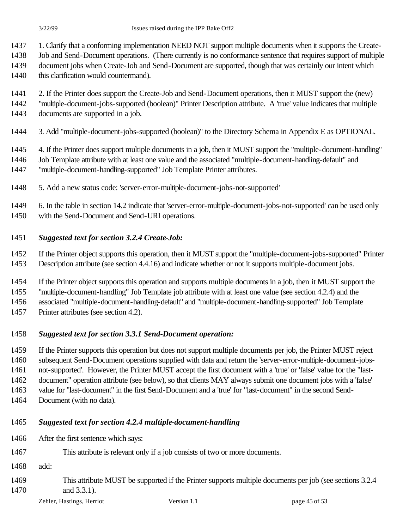1. Clarify that a conforming implementation NEED NOT support multiple documents when it supports the Create-

Job and Send-Document operations. (There currently is no conformance sentence that requires support of multiple

document jobs when Create-Job and Send-Document are supported, though that was certainly our intent which

1440 this clarification would countermand).

2. If the Printer does support the Create-Job and Send-Document operations, then it MUST support the (new)

"multiple-document-jobs-supported (boolean)" Printer Description attribute. A 'true' value indicates that multiple

documents are supported in a job.

3. Add "multiple-document-jobs-supported (boolean)" to the Directory Schema in Appendix E as OPTIONAL.

4. If the Printer does support multiple documents in a job, then it MUST support the "multiple-document-handling"

Job Template attribute with at least one value and the associated "multiple-document-handling-default" and

"multiple-document-handling-supported" Job Template Printer attributes.

5. Add a new status code: 'server-error-multiple-document-jobs-not-supported'

6. In the table in section 14.2 indicate that 'server-error-multiple-document-jobs-not-supported' can be used only

with the Send-Document and Send-URI operations.

#### *Suggested text for section 3.2.4 Create-Job:*

If the Printer object supports this operation, then it MUST support the "multiple-document-jobs-supported" Printer

Description attribute (see section 4.4.16) and indicate whether or not it supports multiple-document jobs.

 If the Printer object supports this operation and supports multiple documents in a job, then it MUST support the "multiple-document-handling" Job Template job attribute with at least one value (see section 4.2.4) and the

associated "multiple-document-handling-default" and "multiple-document-handling-supported" Job Template

Printer attributes (see section 4.2).

#### *Suggested text for section 3.3.1 Send-Document operation:*

 If the Printer supports this operation but does not support multiple documents per job, the Printer MUST reject subsequent Send-Document operations supplied with data and return the 'server-error-multiple-document-jobs- not-supported'. However, the Printer MUST accept the first document with a 'true' or 'false' value for the "last- document" operation attribute (see below), so that clients MAY always submit one document jobs with a 'false' value for "last-document" in the first Send-Document and a 'true' for "last-document" in the second Send-

Document (with no data).

## *Suggested text for section 4.2.4 multiple-document-handling*

- After the first sentence which says:
- This attribute is relevant only if a job consists of two or more documents.
- add:
- This attribute MUST be supported if the Printer supports multiple documents per job (see sections 3.2.4 and 3.3.1).
	- Zehler, Hastings, Herriot Version 1.1 page 45 of 53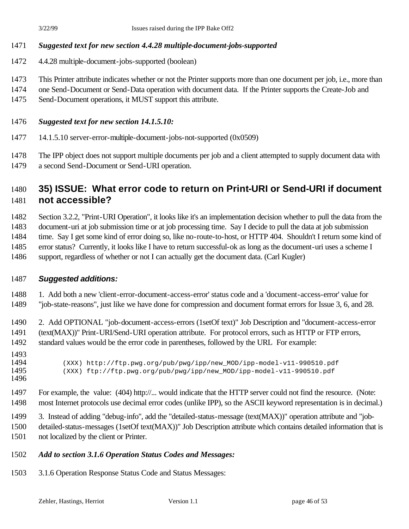#### *Suggested text for new section 4.4.28 multiple-document-jobs-supported*

- 4.4.28 multiple-document-jobs-supported (boolean)
- This Printer attribute indicates whether or not the Printer supports more than one document per job, i.e., more than
- one Send-Document or Send-Data operation with document data. If the Printer supports the Create-Job and
- Send-Document operations, it MUST support this attribute.

#### *Suggested text for new section 14.1.5.10:*

14.1.5.10 server-error-multiple-document-jobs-not-supported (0x0509)

 The IPP object does not support multiple documents per job and a client attempted to supply document data with a second Send-Document or Send-URI operation.

## **35) ISSUE: What error code to return on Print-URI or Send-URI if document not accessible?**

Section 3.2.2, "Print-URI Operation", it looks like it's an implementation decision whether to pull the data from the

- document-uri at job submission time or at job processing time. Say I decide to pull the data at job submission time. Say I get some kind of error doing so, like no-route-to-host, or HTTP 404. Shouldn't I return some kind of error status? Currently, it looks like I have to return successful-ok as long as the document-uri uses a scheme I
- support, regardless of whether or not I can actually get the document data. (Carl Kugler)

#### *Suggested additions:*

1. Add both a new 'client-error-document-access-error' status code and a 'document-access-error' value for

"job-state-reasons", just like we have done for compression and document format errors for Issue 3, 6, and 28.

 2. Add OPTIONAL "job-document-access-errors (1setOf text)" Job Description and "document-access-error (text(MAX))" Print-URI/Send-URI operation attribute. For protocol errors, such as HTTP or FTP errors, standard values would be the error code in parentheses, followed by the URL For example:

- 1493<br>1494 1494 (XXX) http://ftp.pwg.org/pub/pwg/ipp/new\_MOD/ipp-model-v11-990510.pdf<br>1495 (XXX) ftp://ftp.pwg.org/pub/pwg/ipp/new MOD/ipp-model-v11-990510.pdf (XXX) ftp://ftp.pwg.org/pub/pwg/ipp/new\_MOD/ipp-model-v11-990510.pdf
- - For example, the value: (404) http://... would indicate that the HTTP server could not find the resource. (Note: most Internet protocols use decimal error codes (unlike IPP), so the ASCII keyword representation is in decimal.)
	- 3. Instead of adding "debug-info", add the "detailed-status-message (text(MAX))" operation attribute and "job-
	- detailed-status-messages (1setOf text(MAX))" Job Description attribute which contains detailed information that is not localized by the client or Printer.
	- *Add to section 3.1.6 Operation Status Codes and Messages:*
	- 3.1.6 Operation Response Status Code and Status Messages: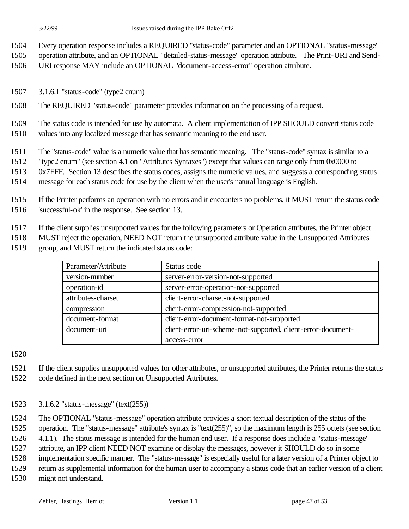Every operation response includes a REQUIRED "status-code" parameter and an OPTIONAL "status-message"

operation attribute, and an OPTIONAL "detailed-status-message" operation attribute. The Print-URI and Send-

URI response MAY include an OPTIONAL "document-access-error" operation attribute.

- 3.1.6.1 "status-code" (type2 enum)
- The REQUIRED "status-code" parameter provides information on the processing of a request.

 The status code is intended for use by automata. A client implementation of IPP SHOULD convert status code values into any localized message that has semantic meaning to the end user.

The "status-code" value is a numeric value that has semantic meaning. The "status-code" syntax is similar to a

- "type2 enum" (see section 4.1 on "Attributes Syntaxes") except that values can range only from 0x0000 to
- 0x7FFF. Section 13 describes the status codes, assigns the numeric values, and suggests a corresponding status
- message for each status code for use by the client when the user's natural language is English.

 If the Printer performs an operation with no errors and it encounters no problems, it MUST return the status code 'successful-ok' in the response. See section 13.

If the client supplies unsupported values for the following parameters or Operation attributes, the Printer object

MUST reject the operation, NEED NOT return the unsupported attribute value in the Unsupported Attributes

group, and MUST return the indicated status code:

| Parameter/Attribute | Status code                                                   |
|---------------------|---------------------------------------------------------------|
| version-number      | server-error-version-not-supported                            |
| operation-id        | server-error-operation-not-supported                          |
| attributes-charset  | client-error-charset-not-supported                            |
| compression         | client-error-compression-not-supported                        |
| document-format     | client-error-document-format-not-supported                    |
| document-uri        | client-error-uri-scheme-not-supported, client-error-document- |
|                     | access-error                                                  |

 If the client supplies unsupported values for other attributes, or unsupported attributes, the Printer returns the status code defined in the next section on Unsupported Attributes.

3.1.6.2 "status-message" (text(255))

The OPTIONAL "status-message" operation attribute provides a short textual description of the status of the

operation. The "status-message" attribute's syntax is "text(255)", so the maximum length is 255 octets (see section

4.1.1). The status message is intended for the human end user. If a response does include a "status-message"

attribute, an IPP client NEED NOT examine or display the messages, however it SHOULD do so in some

implementation specific manner. The "status-message" is especially useful for a later version of a Printer object to

return as supplemental information for the human user to accompany a status code that an earlier version of a client

might not understand.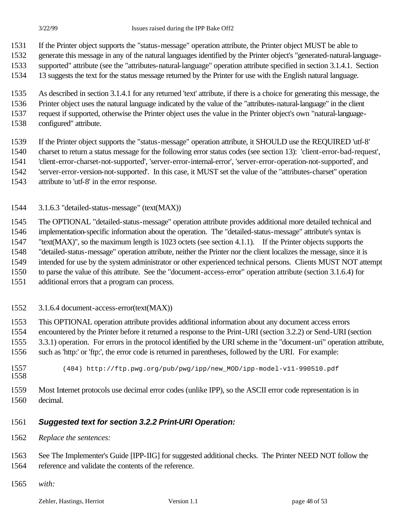- If the Printer object supports the "status-message" operation attribute, the Printer object MUST be able to
- generate this message in any of the natural languages identified by the Printer object's "generated-natural-language-supported" attribute (see the "attributes-natural-language" operation attribute specified in section 3.1.4.1. Section
- 13 suggests the text for the status message returned by the Printer for use with the English natural language.
- 
- As described in section 3.1.4.1 for any returned 'text' attribute, if there is a choice for generating this message, the
- Printer object uses the natural language indicated by the value of the "attributes-natural-language" in the client
- request if supported, otherwise the Printer object uses the value in the Printer object's own "natural-language-
- configured" attribute.
- If the Printer object supports the "status-message" operation attribute, it SHOULD use the REQUIRED 'utf-8'
- charset to return a status message for the following error status codes (see section 13): 'client-error-bad-request',
- 'client-error-charset-not-supported', 'server-error-internal-error', 'server-error-operation-not-supported', and
- 'server-error-version-not-supported'. In this case, it MUST set the value of the "attributes-charset" operation
- attribute to 'utf-8' in the error response.
- 3.1.6.3 "detailed-status-message" (text(MAX))
- The OPTIONAL "detailed-status-message" operation attribute provides additional more detailed technical and
- implementation-specific information about the operation. The "detailed-status-message" attribute's syntax is
- "text(MAX)", so the maximum length is 1023 octets (see section 4.1.1). If the Printer objects supports the
- "detailed-status-message" operation attribute, neither the Printer nor the client localizes the message, since it is
- intended for use by the system administrator or other experienced technical persons. Clients MUST NOT attempt
- to parse the value of this attribute. See the "document-access-error" operation attribute (section 3.1.6.4) for
- additional errors that a program can process.
- 3.1.6.4 document-access-error(text(MAX))
- This OPTIONAL operation attribute provides additional information about any document access errors encountered by the Printer before it returned a response to the Print-URI (section 3.2.2) or Send-URI (section 3.3.1) operation. For errors in the protocol identified by the URI scheme in the "document-uri" operation attribute, such as 'http:' or 'ftp:', the error code is returned in parentheses, followed by the URI. For example:
- (404) http://ftp.pwg.org/pub/pwg/ipp/new\_MOD/ipp-model-v11-990510.pdf
- Most Internet protocols use decimal error codes (unlike IPP), so the ASCII error code representation is in decimal.

## *Suggested text for section 3.2.2 Print-URI Operation:*

- *Replace the sentences:*
- See The Implementer's Guide [IPP-IIG] for suggested additional checks. The Printer NEED NOT follow the reference and validate the contents of the reference.
- *with:*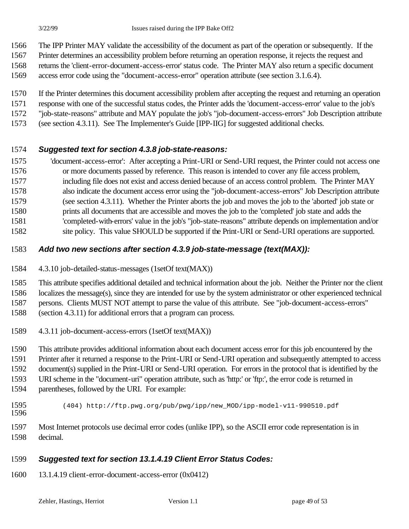- The IPP Printer MAY validate the accessibility of the document as part of the operation or subsequently. If the
- Printer determines an accessibility problem before returning an operation response, it rejects the request and returns the 'client-error-document-access-error' status code. The Printer MAY also return a specific document
- access error code using the "document-access-error" operation attribute (see section 3.1.6.4).
- If the Printer determines this document accessibility problem after accepting the request and returning an operation
- response with one of the successful status codes, the Printer adds the 'document-access-error' value to the job's
- "job-state-reasons" attribute and MAY populate the job's "job-document-access-errors" Job Description attribute
- (see section 4.3.11). See The Implementer's Guide [IPP-IIG] for suggested additional checks.

### *Suggested text for section 4.3.8 job-state-reasons:*

- 'document-access-error': After accepting a Print-URI or Send-URI request, the Printer could not access one or more documents passed by reference. This reason is intended to cover any file access problem,
- including file does not exist and access denied because of an access control problem. The Printer MAY also indicate the document access error using the "job-document-access-errors" Job Description attribute (see section 4.3.11). Whether the Printer aborts the job and moves the job to the 'aborted' job state or prints all documents that are accessible and moves the job to the 'completed' job state and adds the 'completed-with-errors' value in the job's "job-state-reasons" attribute depends on implementation and/or
- site policy. This value SHOULD be supported if the Print-URI or Send-URI operations are supported.

### *Add two new sections after section 4.3.9 job-state-message (text(MAX)):*

4.3.10 job-detailed-status-messages (1setOf text(MAX))

This attribute specifies additional detailed and technical information about the job. Neither the Printer nor the client

localizes the message(s), since they are intended for use by the system administrator or other experienced technical

persons. Clients MUST NOT attempt to parse the value of this attribute. See "job-document-access-errors"

- (section 4.3.11) for additional errors that a program can process.
- 4.3.11 job-document-access-errors (1setOf text(MAX))

This attribute provides additional information about each document access error for this job encountered by the

Printer after it returned a response to the Print-URI or Send-URI operation and subsequently attempted to access

document(s) supplied in the Print-URI or Send-URI operation. For errors in the protocol that is identified by the

URI scheme in the "document-uri" operation attribute, such as 'http:' or 'ftp:', the error code is returned in

- parentheses, followed by the URI. For example:
- (404) http://ftp.pwg.org/pub/pwg/ipp/new\_MOD/ipp-model-v11-990510.pdf
- 

 Most Internet protocols use decimal error codes (unlike IPP), so the ASCII error code representation is in decimal.

#### *Suggested text for section 13.1.4.19 Client Error Status Codes:*

13.1.4.19 client-error-document-access-error (0x0412)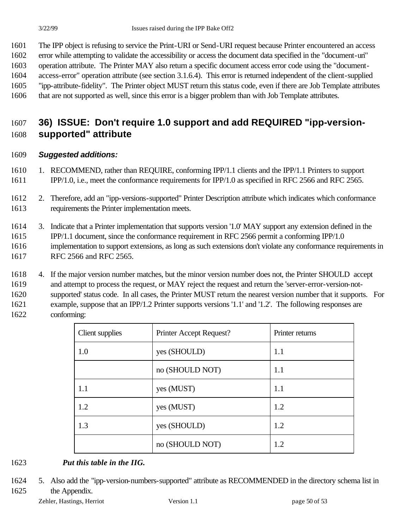The IPP object is refusing to service the Print-URI or Send-URI request because Printer encountered an access

error while attempting to validate the accessibility or access the document data specified in the "document-uri"

 operation attribute. The Printer MAY also return a specific document access error code using the "document-access-error" operation attribute (see section 3.1.6.4). This error is returned independent of the client-supplied

"ipp-attribute-fidelity". The Printer object MUST return this status code, even if there are Job Template attributes

that are not supported as well, since this error is a bigger problem than with Job Template attributes.

# **36) ISSUE: Don't require 1.0 support and add REQUIRED "ipp-version-supported" attribute**

#### *Suggested additions:*

 1. RECOMMEND, rather than REQUIRE, conforming IPP/1.1 clients and the IPP/1.1 Printers to support IPP/1.0, i.e., meet the conformance requirements for IPP/1.0 as specified in RFC 2566 and RFC 2565.

 2. Therefore, add an "ipp-versions-supported" Printer Description attribute which indicates which conformance requirements the Printer implementation meets.

 3. Indicate that a Printer implementation that supports version '1.0' MAY support any extension defined in the IPP/1.1 document, since the conformance requirement in RFC 2566 permit a conforming IPP/1.0 implementation to support extensions, as long as such extensions don't violate any conformance requirements in RFC 2566 and RFC 2565.

 4. If the major version number matches, but the minor version number does not, the Printer SHOULD accept and attempt to process the request, or MAY reject the request and return the 'server-error-version-not- supported' status code. In all cases, the Printer MUST return the nearest version number that it supports. For example, suppose that an IPP/1.2 Printer supports versions '1.1' and '1.2'. The following responses are conforming:

| Client supplies | Printer Accept Request? | Printer returns |
|-----------------|-------------------------|-----------------|
| 1.0             | yes (SHOULD)            | 1.1             |
|                 | no (SHOULD NOT)         | 1.1             |
| 1.1             | yes (MUST)              | 1.1             |
| 1.2             | yes (MUST)              | 1.2             |
| 1.3             | yes (SHOULD)            | 1.2             |
|                 | no (SHOULD NOT)         | 1.2             |

#### *Put this table in the IIG.*

 5. Also add the "ipp-version-numbers-supported" attribute as RECOMMENDED in the directory schema list in the Appendix.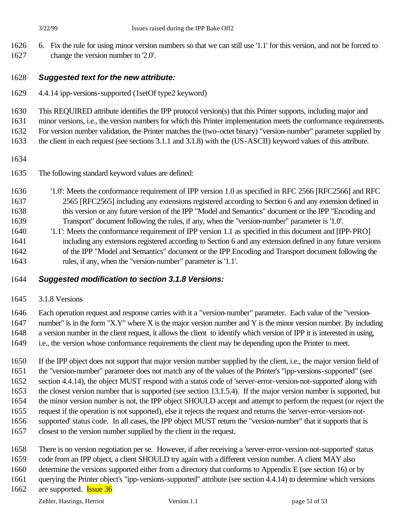6. Fix the rule for using minor version numbers so that we can still use '1.1' for this version, and not be forced to change the version number to '2.0'.

#### *Suggested text for the new attribute:*

4.4.14 ipp-versions-supported (1setOf type2 keyword)

This REQUIRED attribute identifies the IPP protocol version(s) that this Printer supports, including major and

minor versions, i.e., the version numbers for which this Printer implementation meets the conformance requirements.

For version number validation, the Printer matches the (two-octet binary) "version-number" parameter supplied by

the client in each request (see sections 3.1.1 and 3.1.8) with the (US-ASCII) keyword values of this attribute.

- 
- The following standard keyword values are defined:
- '1.0': Meets the conformance requirement of IPP version 1.0 as specified in RFC 2566 [RFC2566] and RFC 2565 [RFC2565] including any extensions registered according to Section 6 and any extension defined in this version or any future version of the IPP "Model and Semantics" document or the IPP "Encoding and Transport" document following the rules, if any, when the "version-number" parameter is '1.0'.
- '1.1': Meets the conformance requirement of IPP version 1.1 as specified in this document and [IPP-PRO] including any extensions registered according to Section 6 and any extension defined in any future versions of the IPP "Model and Semantics" document or the IPP Encoding and Transport document following the rules, if any, when the "version-number" parameter is '1.1'.

#### *Suggested modification to section 3.1.8 Versions:*

3.1.8 Versions

 Each operation request and response carries with it a "version-number" parameter. Each value of the "version- number" is in the form "X.Y" where X is the major version number and Y is the minor version number. By including a version number in the client request, it allows the client to identify which version of IPP it is interested in using, i.e., the version whose conformance requirements the client may be depending upon the Printer to meet.

 If the IPP object does not support that major version number supplied by the client, i.e., the major version field of the "version-number" parameter does not match any of the values of the Printer's "ipp-versions-supported" (see section 4.4.14), the object MUST respond with a status code of 'server-error-version-not-supported' along with the closest version number that is supported (see section 13.1.5.4). If the major version number is supported, but the minor version number is not, the IPP object SHOULD accept and attempt to perform the request (or reject the request if the operation is not supported), else it rejects the request and returns the 'server-error-version-not- supported' status code. In all cases, the IPP object MUST return the "version-number" that it supports that is closest to the version number supplied by the client in the request.

- There is no version negotiation per se. However, if after receiving a 'server-error-version-not-supported' status
- code from an IPP object, a client SHOULD try again with a different version number. A client MAY also
- determine the versions supported either from a directory that conforms to Appendix E (see section 16) or by
- querying the Printer object's "ipp-versions-supported" attribute (see section 4.4.14) to determine which versions
- 1662 are supported. **Issue 36**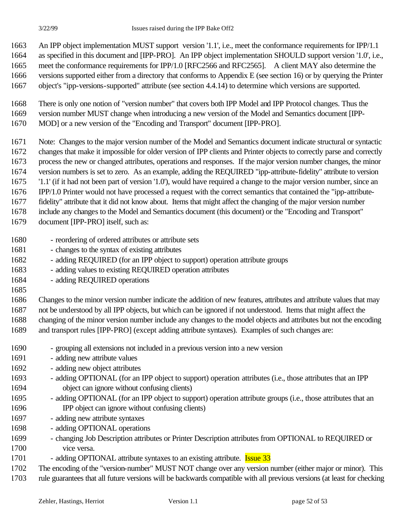An IPP object implementation MUST support version '1.1', i.e., meet the conformance requirements for IPP/1.1 as specified in this document and [IPP-PRO]. An IPP object implementation SHOULD support version '1.0', i.e., meet the conformance requirements for IPP/1.0 [RFC2566 and RFC2565]. A client MAY also determine the versions supported either from a directory that conforms to Appendix E (see section 16) or by querying the Printer object's "ipp-versions-supported" attribute (see section 4.4.14) to determine which versions are supported.

 There is only one notion of "version number" that covers both IPP Model and IPP Protocol changes. Thus the version number MUST change when introducing a new version of the Model and Semantics document [IPP-MOD] or a new version of the "Encoding and Transport" document [IPP-PRO].

 Note: Changes to the major version number of the Model and Semantics document indicate structural or syntactic changes that make it impossible for older version of IPP clients and Printer objects to correctly parse and correctly process the new or changed attributes, operations and responses. If the major version number changes, the minor version numbers is set to zero. As an example, adding the REQUIRED "ipp-attribute-fidelity" attribute to version '1.1' (if it had not been part of version '1.0'), would have required a change to the major version number, since an IPP/1.0 Printer would not have processed a request with the correct semantics that contained the "ipp-attribute- fidelity" attribute that it did not know about. Items that might affect the changing of the major version number include any changes to the Model and Semantics document (this document) or the "Encoding and Transport"

- document [IPP-PRO] itself, such as:
- reordering of ordered attributes or attribute sets
- changes to the syntax of existing attributes
- adding REQUIRED (for an IPP object to support) operation attribute groups
- adding values to existing REQUIRED operation attributes
- adding REQUIRED operations
- 

 Changes to the minor version number indicate the addition of new features, attributes and attribute values that may not be understood by all IPP objects, but which can be ignored if not understood. Items that might affect the changing of the minor version number include any changes to the model objects and attributes but not the encoding and transport rules [IPP-PRO] (except adding attribute syntaxes). Examples of such changes are:

- grouping all extensions not included in a previous version into a new version
- adding new attribute values
- adding new object attributes
- 1693 adding OPTIONAL (for an IPP object to support) operation attributes (i.e., those attributes that an IPP object can ignore without confusing clients)
- adding OPTIONAL (for an IPP object to support) operation attribute groups (i.e., those attributes that an IPP object can ignore without confusing clients)
- adding new attribute syntaxes
- adding OPTIONAL operations
- changing Job Description attributes or Printer Description attributes from OPTIONAL to REQUIRED or vice versa.
- 1701 adding OPTIONAL attribute syntaxes to an existing attribute. **Issue 33**
- The encoding of the "version-number" MUST NOT change over any version number (either major or minor). This
- rule guarantees that all future versions will be backwards compatible with all previous versions (at least for checking